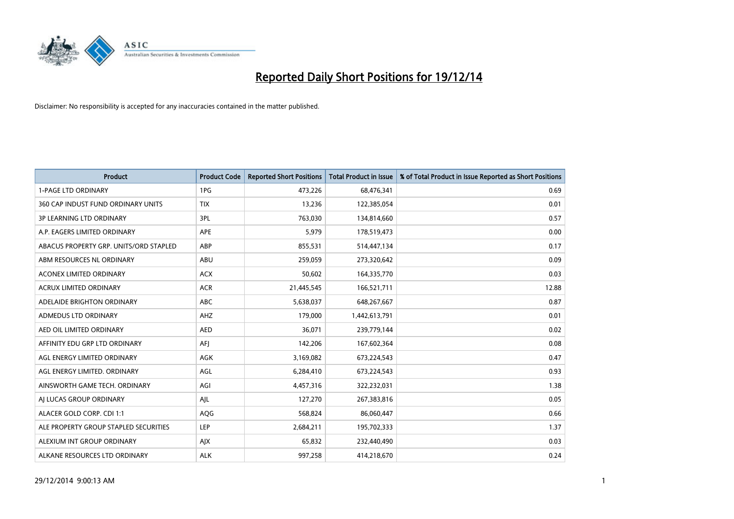

| Product                                | <b>Product Code</b> | <b>Reported Short Positions</b> | <b>Total Product in Issue</b> | % of Total Product in Issue Reported as Short Positions |
|----------------------------------------|---------------------|---------------------------------|-------------------------------|---------------------------------------------------------|
| <b>1-PAGE LTD ORDINARY</b>             | 1PG                 | 473,226                         | 68,476,341                    | 0.69                                                    |
| 360 CAP INDUST FUND ORDINARY UNITS     | <b>TIX</b>          | 13,236                          | 122,385,054                   | 0.01                                                    |
| <b>3P LEARNING LTD ORDINARY</b>        | 3PL                 | 763,030                         | 134,814,660                   | 0.57                                                    |
| A.P. EAGERS LIMITED ORDINARY           | <b>APE</b>          | 5,979                           | 178,519,473                   | 0.00                                                    |
| ABACUS PROPERTY GRP. UNITS/ORD STAPLED | ABP                 | 855,531                         | 514,447,134                   | 0.17                                                    |
| ABM RESOURCES NL ORDINARY              | ABU                 | 259,059                         | 273,320,642                   | 0.09                                                    |
| <b>ACONEX LIMITED ORDINARY</b>         | <b>ACX</b>          | 50,602                          | 164,335,770                   | 0.03                                                    |
| ACRUX LIMITED ORDINARY                 | <b>ACR</b>          | 21,445,545                      | 166,521,711                   | 12.88                                                   |
| ADELAIDE BRIGHTON ORDINARY             | ABC                 | 5,638,037                       | 648,267,667                   | 0.87                                                    |
| ADMEDUS LTD ORDINARY                   | AHZ                 | 179,000                         | 1,442,613,791                 | 0.01                                                    |
| AED OIL LIMITED ORDINARY               | <b>AED</b>          | 36,071                          | 239,779,144                   | 0.02                                                    |
| AFFINITY EDU GRP LTD ORDINARY          | AFJ                 | 142,206                         | 167,602,364                   | 0.08                                                    |
| AGL ENERGY LIMITED ORDINARY            | AGK                 | 3,169,082                       | 673,224,543                   | 0.47                                                    |
| AGL ENERGY LIMITED. ORDINARY           | AGL                 | 6,284,410                       | 673,224,543                   | 0.93                                                    |
| AINSWORTH GAME TECH. ORDINARY          | AGI                 | 4,457,316                       | 322,232,031                   | 1.38                                                    |
| AI LUCAS GROUP ORDINARY                | AJL                 | 127,270                         | 267,383,816                   | 0.05                                                    |
| ALACER GOLD CORP. CDI 1:1              | AQG                 | 568,824                         | 86,060,447                    | 0.66                                                    |
| ALE PROPERTY GROUP STAPLED SECURITIES  | <b>LEP</b>          | 2,684,211                       | 195,702,333                   | 1.37                                                    |
| ALEXIUM INT GROUP ORDINARY             | AJX                 | 65,832                          | 232,440,490                   | 0.03                                                    |
| ALKANE RESOURCES LTD ORDINARY          | <b>ALK</b>          | 997,258                         | 414,218,670                   | 0.24                                                    |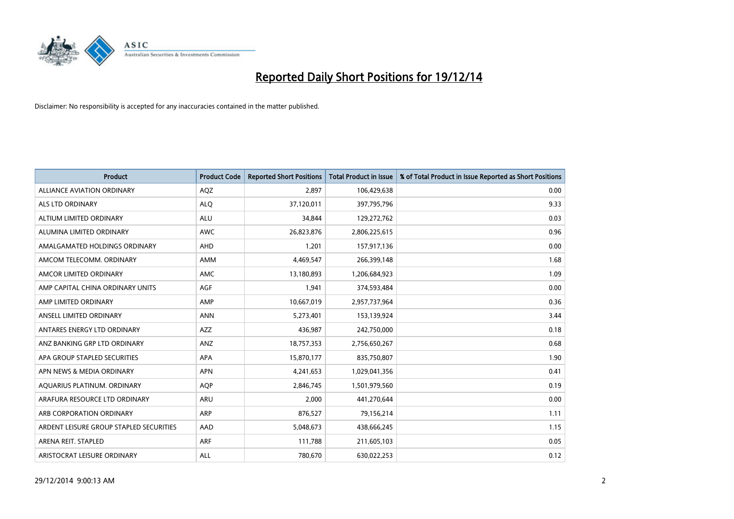

| <b>Product</b>                          | <b>Product Code</b> | <b>Reported Short Positions</b> | <b>Total Product in Issue</b> | % of Total Product in Issue Reported as Short Positions |
|-----------------------------------------|---------------------|---------------------------------|-------------------------------|---------------------------------------------------------|
| ALLIANCE AVIATION ORDINARY              | AQZ                 | 2,897                           | 106,429,638                   | 0.00                                                    |
| ALS LTD ORDINARY                        | <b>ALQ</b>          | 37,120,011                      | 397,795,796                   | 9.33                                                    |
| ALTIUM LIMITED ORDINARY                 | ALU                 | 34,844                          | 129,272,762                   | 0.03                                                    |
| ALUMINA LIMITED ORDINARY                | <b>AWC</b>          | 26,823,876                      | 2,806,225,615                 | 0.96                                                    |
| AMALGAMATED HOLDINGS ORDINARY           | AHD                 | 1,201                           | 157,917,136                   | 0.00                                                    |
| AMCOM TELECOMM. ORDINARY                | AMM                 | 4,469,547                       | 266,399,148                   | 1.68                                                    |
| AMCOR LIMITED ORDINARY                  | AMC                 | 13,180,893                      | 1,206,684,923                 | 1.09                                                    |
| AMP CAPITAL CHINA ORDINARY UNITS        | AGF                 | 1,941                           | 374,593,484                   | 0.00                                                    |
| AMP LIMITED ORDINARY                    | AMP                 | 10,667,019                      | 2,957,737,964                 | 0.36                                                    |
| ANSELL LIMITED ORDINARY                 | <b>ANN</b>          | 5,273,401                       | 153,139,924                   | 3.44                                                    |
| ANTARES ENERGY LTD ORDINARY             | AZZ                 | 436,987                         | 242,750,000                   | 0.18                                                    |
| ANZ BANKING GRP LTD ORDINARY            | ANZ                 | 18,757,353                      | 2,756,650,267                 | 0.68                                                    |
| APA GROUP STAPLED SECURITIES            | APA                 | 15,870,177                      | 835,750,807                   | 1.90                                                    |
| APN NEWS & MEDIA ORDINARY               | <b>APN</b>          | 4,241,653                       | 1,029,041,356                 | 0.41                                                    |
| AQUARIUS PLATINUM. ORDINARY             | <b>AOP</b>          | 2,846,745                       | 1,501,979,560                 | 0.19                                                    |
| ARAFURA RESOURCE LTD ORDINARY           | <b>ARU</b>          | 2,000                           | 441,270,644                   | 0.00                                                    |
| ARB CORPORATION ORDINARY                | <b>ARP</b>          | 876,527                         | 79,156,214                    | 1.11                                                    |
| ARDENT LEISURE GROUP STAPLED SECURITIES | AAD                 | 5,048,673                       | 438,666,245                   | 1.15                                                    |
| ARENA REIT. STAPLED                     | ARF                 | 111,788                         | 211,605,103                   | 0.05                                                    |
| ARISTOCRAT LEISURE ORDINARY             | ALL                 | 780,670                         | 630,022,253                   | 0.12                                                    |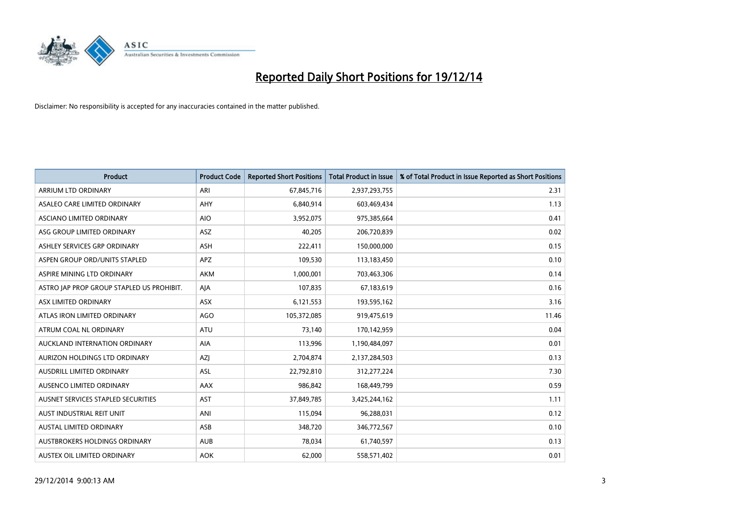

| <b>Product</b>                            | <b>Product Code</b> | <b>Reported Short Positions</b> | <b>Total Product in Issue</b> | % of Total Product in Issue Reported as Short Positions |
|-------------------------------------------|---------------------|---------------------------------|-------------------------------|---------------------------------------------------------|
| ARRIUM LTD ORDINARY                       | ARI                 | 67,845,716                      | 2,937,293,755                 | 2.31                                                    |
| ASALEO CARE LIMITED ORDINARY              | <b>AHY</b>          | 6,840,914                       | 603,469,434                   | 1.13                                                    |
| ASCIANO LIMITED ORDINARY                  | <b>AIO</b>          | 3,952,075                       | 975,385,664                   | 0.41                                                    |
| ASG GROUP LIMITED ORDINARY                | <b>ASZ</b>          | 40,205                          | 206,720,839                   | 0.02                                                    |
| ASHLEY SERVICES GRP ORDINARY              | ASH                 | 222,411                         | 150,000,000                   | 0.15                                                    |
| ASPEN GROUP ORD/UNITS STAPLED             | <b>APZ</b>          | 109,530                         | 113,183,450                   | 0.10                                                    |
| ASPIRE MINING LTD ORDINARY                | <b>AKM</b>          | 1,000,001                       | 703,463,306                   | 0.14                                                    |
| ASTRO JAP PROP GROUP STAPLED US PROHIBIT. | AJA                 | 107,835                         | 67,183,619                    | 0.16                                                    |
| ASX LIMITED ORDINARY                      | ASX                 | 6,121,553                       | 193,595,162                   | 3.16                                                    |
| ATLAS IRON LIMITED ORDINARY               | <b>AGO</b>          | 105,372,085                     | 919,475,619                   | 11.46                                                   |
| ATRUM COAL NL ORDINARY                    | <b>ATU</b>          | 73,140                          | 170,142,959                   | 0.04                                                    |
| AUCKLAND INTERNATION ORDINARY             | <b>AIA</b>          | 113,996                         | 1,190,484,097                 | 0.01                                                    |
| AURIZON HOLDINGS LTD ORDINARY             | AZJ                 | 2,704,874                       | 2,137,284,503                 | 0.13                                                    |
| AUSDRILL LIMITED ORDINARY                 | ASL                 | 22,792,810                      | 312,277,224                   | 7.30                                                    |
| AUSENCO LIMITED ORDINARY                  | AAX                 | 986,842                         | 168,449,799                   | 0.59                                                    |
| AUSNET SERVICES STAPLED SECURITIES        | AST                 | 37,849,785                      | 3,425,244,162                 | 1.11                                                    |
| AUST INDUSTRIAL REIT UNIT                 | ANI                 | 115,094                         | 96,288,031                    | 0.12                                                    |
| <b>AUSTAL LIMITED ORDINARY</b>            | ASB                 | 348,720                         | 346,772,567                   | 0.10                                                    |
| <b>AUSTBROKERS HOLDINGS ORDINARY</b>      | <b>AUB</b>          | 78,034                          | 61,740,597                    | 0.13                                                    |
| AUSTEX OIL LIMITED ORDINARY               | <b>AOK</b>          | 62,000                          | 558,571,402                   | 0.01                                                    |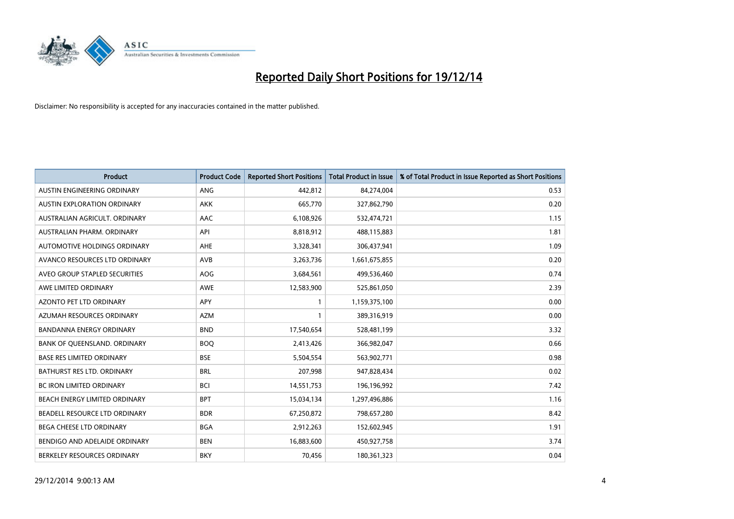

| <b>Product</b>                     | <b>Product Code</b> | <b>Reported Short Positions</b> | <b>Total Product in Issue</b> | % of Total Product in Issue Reported as Short Positions |
|------------------------------------|---------------------|---------------------------------|-------------------------------|---------------------------------------------------------|
| AUSTIN ENGINEERING ORDINARY        | ANG                 | 442.812                         | 84,274,004                    | 0.53                                                    |
| <b>AUSTIN EXPLORATION ORDINARY</b> | <b>AKK</b>          | 665,770                         | 327,862,790                   | 0.20                                                    |
| AUSTRALIAN AGRICULT, ORDINARY      | AAC                 | 6,108,926                       | 532,474,721                   | 1.15                                                    |
| AUSTRALIAN PHARM. ORDINARY         | API                 | 8,818,912                       | 488,115,883                   | 1.81                                                    |
| AUTOMOTIVE HOLDINGS ORDINARY       | AHE                 | 3,328,341                       | 306,437,941                   | 1.09                                                    |
| AVANCO RESOURCES LTD ORDINARY      | AVB                 | 3,263,736                       | 1,661,675,855                 | 0.20                                                    |
| AVEO GROUP STAPLED SECURITIES      | AOG                 | 3,684,561                       | 499,536,460                   | 0.74                                                    |
| AWE LIMITED ORDINARY               | <b>AWE</b>          | 12,583,900                      | 525,861,050                   | 2.39                                                    |
| <b>AZONTO PET LTD ORDINARY</b>     | APY                 | $\mathbf{1}$                    | 1,159,375,100                 | 0.00                                                    |
| AZUMAH RESOURCES ORDINARY          | <b>AZM</b>          | $\mathbf{1}$                    | 389,316,919                   | 0.00                                                    |
| <b>BANDANNA ENERGY ORDINARY</b>    | <b>BND</b>          | 17,540,654                      | 528,481,199                   | 3.32                                                    |
| BANK OF QUEENSLAND. ORDINARY       | <b>BOQ</b>          | 2,413,426                       | 366,982,047                   | 0.66                                                    |
| <b>BASE RES LIMITED ORDINARY</b>   | <b>BSE</b>          | 5,504,554                       | 563,902,771                   | 0.98                                                    |
| <b>BATHURST RES LTD. ORDINARY</b>  | <b>BRL</b>          | 207,998                         | 947,828,434                   | 0.02                                                    |
| <b>BC IRON LIMITED ORDINARY</b>    | <b>BCI</b>          | 14,551,753                      | 196,196,992                   | 7.42                                                    |
| BEACH ENERGY LIMITED ORDINARY      | <b>BPT</b>          | 15,034,134                      | 1,297,496,886                 | 1.16                                                    |
| BEADELL RESOURCE LTD ORDINARY      | <b>BDR</b>          | 67,250,872                      | 798,657,280                   | 8.42                                                    |
| BEGA CHEESE LTD ORDINARY           | <b>BGA</b>          | 2,912,263                       | 152,602,945                   | 1.91                                                    |
| BENDIGO AND ADELAIDE ORDINARY      | <b>BEN</b>          | 16,883,600                      | 450,927,758                   | 3.74                                                    |
| BERKELEY RESOURCES ORDINARY        | <b>BKY</b>          | 70,456                          | 180,361,323                   | 0.04                                                    |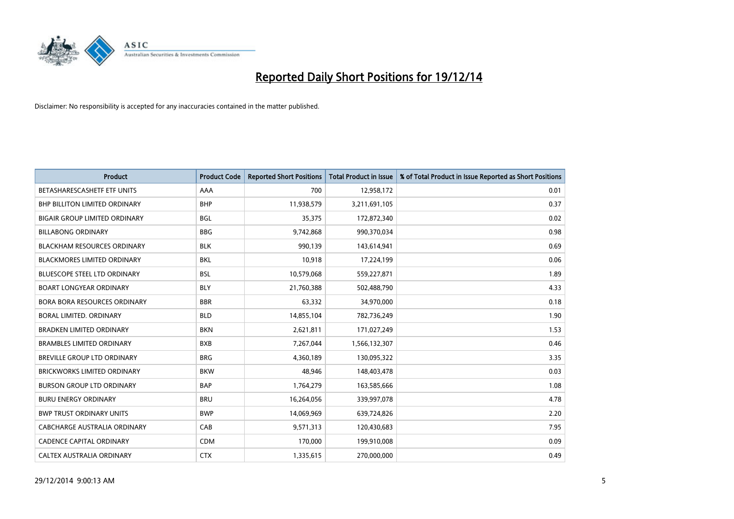

| <b>Product</b>                       | <b>Product Code</b> | <b>Reported Short Positions</b> | <b>Total Product in Issue</b> | % of Total Product in Issue Reported as Short Positions |
|--------------------------------------|---------------------|---------------------------------|-------------------------------|---------------------------------------------------------|
| BETASHARESCASHETF ETF UNITS          | AAA                 | 700                             | 12,958,172                    | 0.01                                                    |
| BHP BILLITON LIMITED ORDINARY        | <b>BHP</b>          | 11,938,579                      | 3,211,691,105                 | 0.37                                                    |
| <b>BIGAIR GROUP LIMITED ORDINARY</b> | <b>BGL</b>          | 35,375                          | 172,872,340                   | 0.02                                                    |
| <b>BILLABONG ORDINARY</b>            | <b>BBG</b>          | 9,742,868                       | 990,370,034                   | 0.98                                                    |
| <b>BLACKHAM RESOURCES ORDINARY</b>   | <b>BLK</b>          | 990,139                         | 143,614,941                   | 0.69                                                    |
| <b>BLACKMORES LIMITED ORDINARY</b>   | <b>BKL</b>          | 10,918                          | 17,224,199                    | 0.06                                                    |
| <b>BLUESCOPE STEEL LTD ORDINARY</b>  | <b>BSL</b>          | 10,579,068                      | 559,227,871                   | 1.89                                                    |
| <b>BOART LONGYEAR ORDINARY</b>       | <b>BLY</b>          | 21,760,388                      | 502,488,790                   | 4.33                                                    |
| <b>BORA BORA RESOURCES ORDINARY</b>  | <b>BBR</b>          | 63,332                          | 34,970,000                    | 0.18                                                    |
| <b>BORAL LIMITED, ORDINARY</b>       | <b>BLD</b>          | 14,855,104                      | 782,736,249                   | 1.90                                                    |
| <b>BRADKEN LIMITED ORDINARY</b>      | <b>BKN</b>          | 2,621,811                       | 171,027,249                   | 1.53                                                    |
| <b>BRAMBLES LIMITED ORDINARY</b>     | <b>BXB</b>          | 7,267,044                       | 1,566,132,307                 | 0.46                                                    |
| <b>BREVILLE GROUP LTD ORDINARY</b>   | <b>BRG</b>          | 4,360,189                       | 130,095,322                   | 3.35                                                    |
| <b>BRICKWORKS LIMITED ORDINARY</b>   | <b>BKW</b>          | 48,946                          | 148,403,478                   | 0.03                                                    |
| <b>BURSON GROUP LTD ORDINARY</b>     | <b>BAP</b>          | 1,764,279                       | 163,585,666                   | 1.08                                                    |
| <b>BURU ENERGY ORDINARY</b>          | <b>BRU</b>          | 16,264,056                      | 339,997,078                   | 4.78                                                    |
| <b>BWP TRUST ORDINARY UNITS</b>      | <b>BWP</b>          | 14,069,969                      | 639,724,826                   | 2.20                                                    |
| CABCHARGE AUSTRALIA ORDINARY         | CAB                 | 9,571,313                       | 120,430,683                   | 7.95                                                    |
| <b>CADENCE CAPITAL ORDINARY</b>      | <b>CDM</b>          | 170,000                         | 199,910,008                   | 0.09                                                    |
| CALTEX AUSTRALIA ORDINARY            | <b>CTX</b>          | 1,335,615                       | 270,000,000                   | 0.49                                                    |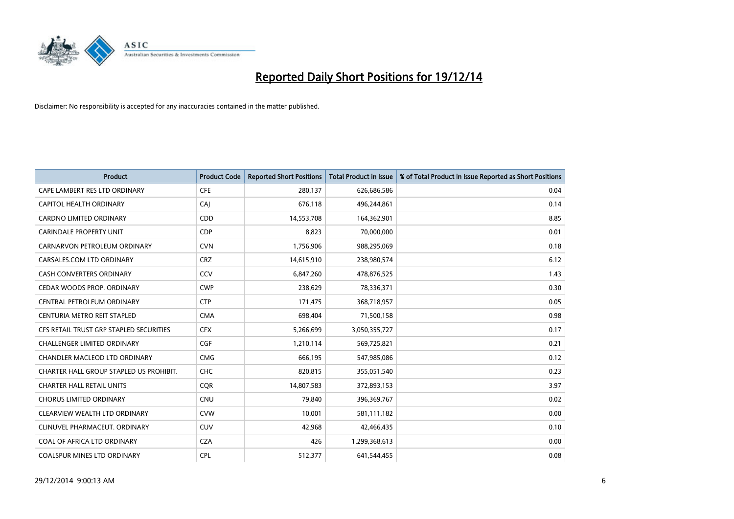

| <b>Product</b>                          | <b>Product Code</b> | <b>Reported Short Positions</b> | <b>Total Product in Issue</b> | % of Total Product in Issue Reported as Short Positions |
|-----------------------------------------|---------------------|---------------------------------|-------------------------------|---------------------------------------------------------|
| CAPE LAMBERT RES LTD ORDINARY           | <b>CFE</b>          | 280,137                         | 626,686,586                   | 0.04                                                    |
| CAPITOL HEALTH ORDINARY                 | CAI                 | 676,118                         | 496,244,861                   | 0.14                                                    |
| <b>CARDNO LIMITED ORDINARY</b>          | CDD                 | 14,553,708                      | 164,362,901                   | 8.85                                                    |
| <b>CARINDALE PROPERTY UNIT</b>          | <b>CDP</b>          | 8,823                           | 70,000,000                    | 0.01                                                    |
| CARNARVON PETROLEUM ORDINARY            | <b>CVN</b>          | 1,756,906                       | 988,295,069                   | 0.18                                                    |
| CARSALES.COM LTD ORDINARY               | <b>CRZ</b>          | 14,615,910                      | 238,980,574                   | 6.12                                                    |
| <b>CASH CONVERTERS ORDINARY</b>         | CCV                 | 6,847,260                       | 478,876,525                   | 1.43                                                    |
| CEDAR WOODS PROP. ORDINARY              | <b>CWP</b>          | 238,629                         | 78,336,371                    | 0.30                                                    |
| CENTRAL PETROLEUM ORDINARY              | <b>CTP</b>          | 171,475                         | 368,718,957                   | 0.05                                                    |
| CENTURIA METRO REIT STAPLED             | <b>CMA</b>          | 698,404                         | 71,500,158                    | 0.98                                                    |
| CFS RETAIL TRUST GRP STAPLED SECURITIES | <b>CFX</b>          | 5,266,699                       | 3,050,355,727                 | 0.17                                                    |
| <b>CHALLENGER LIMITED ORDINARY</b>      | <b>CGF</b>          | 1,210,114                       | 569,725,821                   | 0.21                                                    |
| CHANDLER MACLEOD LTD ORDINARY           | <b>CMG</b>          | 666,195                         | 547,985,086                   | 0.12                                                    |
| CHARTER HALL GROUP STAPLED US PROHIBIT. | <b>CHC</b>          | 820,815                         | 355,051,540                   | 0.23                                                    |
| <b>CHARTER HALL RETAIL UNITS</b>        | CQR                 | 14,807,583                      | 372,893,153                   | 3.97                                                    |
| <b>CHORUS LIMITED ORDINARY</b>          | <b>CNU</b>          | 79,840                          | 396,369,767                   | 0.02                                                    |
| CLEARVIEW WEALTH LTD ORDINARY           | <b>CVW</b>          | 10,001                          | 581,111,182                   | 0.00                                                    |
| CLINUVEL PHARMACEUT. ORDINARY           | <b>CUV</b>          | 42,968                          | 42,466,435                    | 0.10                                                    |
| COAL OF AFRICA LTD ORDINARY             | <b>CZA</b>          | 426                             | 1,299,368,613                 | 0.00                                                    |
| COALSPUR MINES LTD ORDINARY             | <b>CPL</b>          | 512,377                         | 641,544,455                   | 0.08                                                    |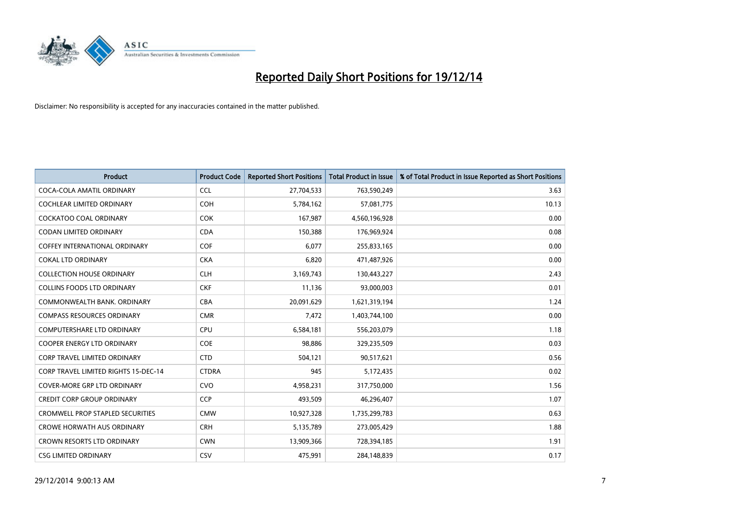

| <b>Product</b>                              | <b>Product Code</b> | <b>Reported Short Positions</b> | <b>Total Product in Issue</b> | % of Total Product in Issue Reported as Short Positions |
|---------------------------------------------|---------------------|---------------------------------|-------------------------------|---------------------------------------------------------|
| COCA-COLA AMATIL ORDINARY                   | <b>CCL</b>          | 27,704,533                      | 763,590,249                   | 3.63                                                    |
| COCHLEAR LIMITED ORDINARY                   | <b>COH</b>          | 5,784,162                       | 57,081,775                    | 10.13                                                   |
| <b>COCKATOO COAL ORDINARY</b>               | <b>COK</b>          | 167,987                         | 4,560,196,928                 | 0.00                                                    |
| <b>CODAN LIMITED ORDINARY</b>               | <b>CDA</b>          | 150,388                         | 176,969,924                   | 0.08                                                    |
| COFFEY INTERNATIONAL ORDINARY               | <b>COF</b>          | 6,077                           | 255,833,165                   | 0.00                                                    |
| <b>COKAL LTD ORDINARY</b>                   | <b>CKA</b>          | 6,820                           | 471,487,926                   | 0.00                                                    |
| <b>COLLECTION HOUSE ORDINARY</b>            | <b>CLH</b>          | 3,169,743                       | 130,443,227                   | 2.43                                                    |
| <b>COLLINS FOODS LTD ORDINARY</b>           | <b>CKF</b>          | 11,136                          | 93,000,003                    | 0.01                                                    |
| COMMONWEALTH BANK, ORDINARY                 | <b>CBA</b>          | 20,091,629                      | 1,621,319,194                 | 1.24                                                    |
| <b>COMPASS RESOURCES ORDINARY</b>           | <b>CMR</b>          | 7,472                           | 1,403,744,100                 | 0.00                                                    |
| COMPUTERSHARE LTD ORDINARY                  | <b>CPU</b>          | 6,584,181                       | 556,203,079                   | 1.18                                                    |
| <b>COOPER ENERGY LTD ORDINARY</b>           | <b>COE</b>          | 98,886                          | 329,235,509                   | 0.03                                                    |
| <b>CORP TRAVEL LIMITED ORDINARY</b>         | <b>CTD</b>          | 504,121                         | 90,517,621                    | 0.56                                                    |
| <b>CORP TRAVEL LIMITED RIGHTS 15-DEC-14</b> | <b>CTDRA</b>        | 945                             | 5,172,435                     | 0.02                                                    |
| <b>COVER-MORE GRP LTD ORDINARY</b>          | <b>CVO</b>          | 4,958,231                       | 317,750,000                   | 1.56                                                    |
| <b>CREDIT CORP GROUP ORDINARY</b>           | <b>CCP</b>          | 493,509                         | 46,296,407                    | 1.07                                                    |
| <b>CROMWELL PROP STAPLED SECURITIES</b>     | <b>CMW</b>          | 10,927,328                      | 1,735,299,783                 | 0.63                                                    |
| <b>CROWE HORWATH AUS ORDINARY</b>           | <b>CRH</b>          | 5,135,789                       | 273,005,429                   | 1.88                                                    |
| <b>CROWN RESORTS LTD ORDINARY</b>           | <b>CWN</b>          | 13,909,366                      | 728,394,185                   | 1.91                                                    |
| <b>CSG LIMITED ORDINARY</b>                 | <b>CSV</b>          | 475,991                         | 284,148,839                   | 0.17                                                    |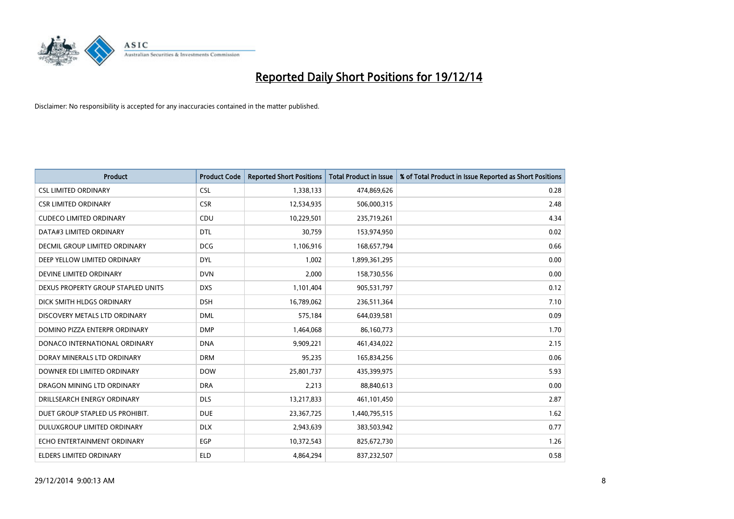

| <b>Product</b>                       | <b>Product Code</b> | <b>Reported Short Positions</b> | <b>Total Product in Issue</b> | % of Total Product in Issue Reported as Short Positions |
|--------------------------------------|---------------------|---------------------------------|-------------------------------|---------------------------------------------------------|
| <b>CSL LIMITED ORDINARY</b>          | <b>CSL</b>          | 1,338,133                       | 474,869,626                   | 0.28                                                    |
| <b>CSR LIMITED ORDINARY</b>          | <b>CSR</b>          | 12,534,935                      | 506,000,315                   | 2.48                                                    |
| <b>CUDECO LIMITED ORDINARY</b>       | <b>CDU</b>          | 10,229,501                      | 235,719,261                   | 4.34                                                    |
| DATA#3 LIMITED ORDINARY              | <b>DTL</b>          | 30,759                          | 153,974,950                   | 0.02                                                    |
| <b>DECMIL GROUP LIMITED ORDINARY</b> | <b>DCG</b>          | 1,106,916                       | 168,657,794                   | 0.66                                                    |
| DEEP YELLOW LIMITED ORDINARY         | <b>DYL</b>          | 1,002                           | 1,899,361,295                 | 0.00                                                    |
| DEVINE LIMITED ORDINARY              | <b>DVN</b>          | 2,000                           | 158,730,556                   | 0.00                                                    |
| DEXUS PROPERTY GROUP STAPLED UNITS   | <b>DXS</b>          | 1,101,404                       | 905,531,797                   | 0.12                                                    |
| DICK SMITH HLDGS ORDINARY            | <b>DSH</b>          | 16,789,062                      | 236,511,364                   | 7.10                                                    |
| DISCOVERY METALS LTD ORDINARY        | <b>DML</b>          | 575,184                         | 644,039,581                   | 0.09                                                    |
| DOMINO PIZZA ENTERPR ORDINARY        | <b>DMP</b>          | 1,464,068                       | 86,160,773                    | 1.70                                                    |
| DONACO INTERNATIONAL ORDINARY        | <b>DNA</b>          | 9,909,221                       | 461,434,022                   | 2.15                                                    |
| DORAY MINERALS LTD ORDINARY          | <b>DRM</b>          | 95,235                          | 165,834,256                   | 0.06                                                    |
| DOWNER EDI LIMITED ORDINARY          | <b>DOW</b>          | 25,801,737                      | 435,399,975                   | 5.93                                                    |
| DRAGON MINING LTD ORDINARY           | <b>DRA</b>          | 2,213                           | 88,840,613                    | 0.00                                                    |
| DRILLSEARCH ENERGY ORDINARY          | <b>DLS</b>          | 13,217,833                      | 461,101,450                   | 2.87                                                    |
| DUET GROUP STAPLED US PROHIBIT.      | <b>DUE</b>          | 23,367,725                      | 1,440,795,515                 | 1.62                                                    |
| DULUXGROUP LIMITED ORDINARY          | <b>DLX</b>          | 2,943,639                       | 383,503,942                   | 0.77                                                    |
| ECHO ENTERTAINMENT ORDINARY          | <b>EGP</b>          | 10,372,543                      | 825,672,730                   | 1.26                                                    |
| ELDERS LIMITED ORDINARY              | <b>ELD</b>          | 4,864,294                       | 837,232,507                   | 0.58                                                    |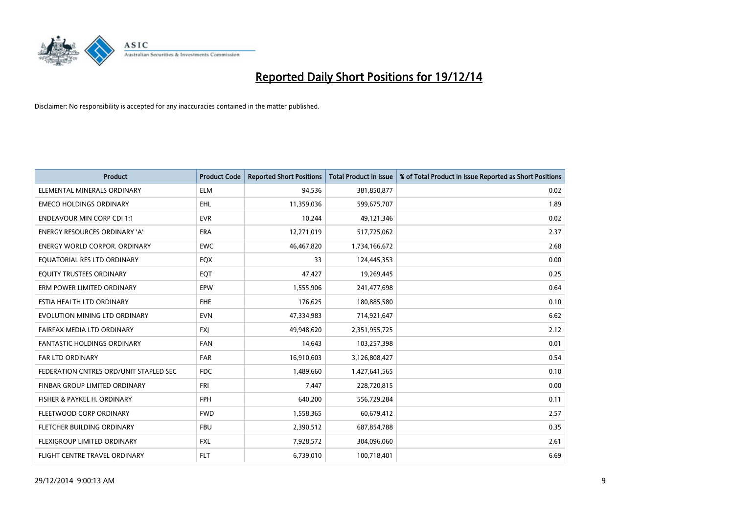

| <b>Product</b>                         | <b>Product Code</b> | <b>Reported Short Positions</b> | <b>Total Product in Issue</b> | % of Total Product in Issue Reported as Short Positions |
|----------------------------------------|---------------------|---------------------------------|-------------------------------|---------------------------------------------------------|
| ELEMENTAL MINERALS ORDINARY            | <b>ELM</b>          | 94,536                          | 381,850,877                   | 0.02                                                    |
| <b>EMECO HOLDINGS ORDINARY</b>         | EHL                 | 11,359,036                      | 599,675,707                   | 1.89                                                    |
| <b>ENDEAVOUR MIN CORP CDI 1:1</b>      | <b>EVR</b>          | 10,244                          | 49,121,346                    | 0.02                                                    |
| ENERGY RESOURCES ORDINARY 'A'          | <b>ERA</b>          | 12,271,019                      | 517,725,062                   | 2.37                                                    |
| <b>ENERGY WORLD CORPOR, ORDINARY</b>   | <b>EWC</b>          | 46,467,820                      | 1,734,166,672                 | 2.68                                                    |
| EQUATORIAL RES LTD ORDINARY            | EQX                 | 33                              | 124,445,353                   | 0.00                                                    |
| EQUITY TRUSTEES ORDINARY               | <b>EQT</b>          | 47,427                          | 19,269,445                    | 0.25                                                    |
| ERM POWER LIMITED ORDINARY             | EPW                 | 1,555,906                       | 241,477,698                   | 0.64                                                    |
| ESTIA HEALTH LTD ORDINARY              | <b>EHE</b>          | 176,625                         | 180,885,580                   | 0.10                                                    |
| EVOLUTION MINING LTD ORDINARY          | <b>EVN</b>          | 47,334,983                      | 714,921,647                   | 6.62                                                    |
| FAIRFAX MEDIA LTD ORDINARY             | <b>FXI</b>          | 49,948,620                      | 2,351,955,725                 | 2.12                                                    |
| <b>FANTASTIC HOLDINGS ORDINARY</b>     | <b>FAN</b>          | 14,643                          | 103,257,398                   | 0.01                                                    |
| FAR LTD ORDINARY                       | <b>FAR</b>          | 16,910,603                      | 3,126,808,427                 | 0.54                                                    |
| FEDERATION CNTRES ORD/UNIT STAPLED SEC | <b>FDC</b>          | 1,489,660                       | 1,427,641,565                 | 0.10                                                    |
| FINBAR GROUP LIMITED ORDINARY          | <b>FRI</b>          | 7,447                           | 228,720,815                   | 0.00                                                    |
| FISHER & PAYKEL H. ORDINARY            | <b>FPH</b>          | 640,200                         | 556,729,284                   | 0.11                                                    |
| FLEETWOOD CORP ORDINARY                | <b>FWD</b>          | 1,558,365                       | 60,679,412                    | 2.57                                                    |
| FLETCHER BUILDING ORDINARY             | <b>FBU</b>          | 2,390,512                       | 687,854,788                   | 0.35                                                    |
| FLEXIGROUP LIMITED ORDINARY            | <b>FXL</b>          | 7,928,572                       | 304,096,060                   | 2.61                                                    |
| FLIGHT CENTRE TRAVEL ORDINARY          | <b>FLT</b>          | 6,739,010                       | 100,718,401                   | 6.69                                                    |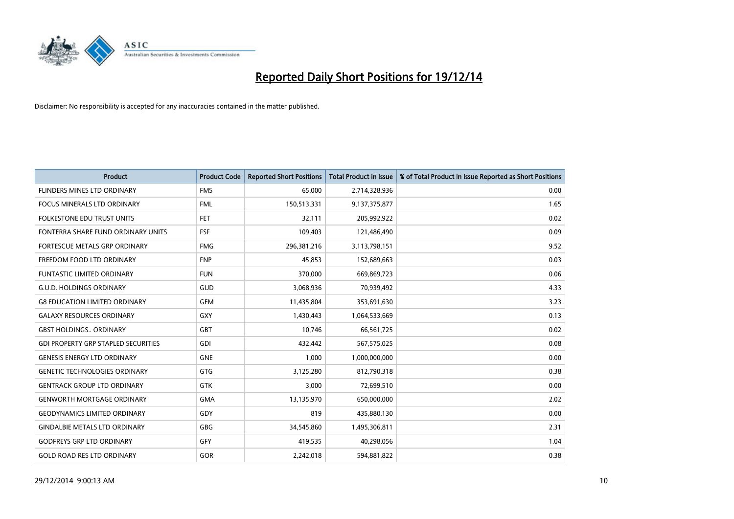

| <b>Product</b>                             | <b>Product Code</b> | <b>Reported Short Positions</b> | <b>Total Product in Issue</b> | % of Total Product in Issue Reported as Short Positions |
|--------------------------------------------|---------------------|---------------------------------|-------------------------------|---------------------------------------------------------|
| FLINDERS MINES LTD ORDINARY                | <b>FMS</b>          | 65,000                          | 2,714,328,936                 | 0.00                                                    |
| FOCUS MINERALS LTD ORDINARY                | <b>FML</b>          | 150,513,331                     | 9,137,375,877                 | 1.65                                                    |
| <b>FOLKESTONE EDU TRUST UNITS</b>          | <b>FET</b>          | 32,111                          | 205,992,922                   | 0.02                                                    |
| FONTERRA SHARE FUND ORDINARY UNITS         | <b>FSF</b>          | 109,403                         | 121,486,490                   | 0.09                                                    |
| <b>FORTESCUE METALS GRP ORDINARY</b>       | <b>FMG</b>          | 296,381,216                     | 3,113,798,151                 | 9.52                                                    |
| FREEDOM FOOD LTD ORDINARY                  | <b>FNP</b>          | 45,853                          | 152,689,663                   | 0.03                                                    |
| <b>FUNTASTIC LIMITED ORDINARY</b>          | <b>FUN</b>          | 370,000                         | 669,869,723                   | 0.06                                                    |
| <b>G.U.D. HOLDINGS ORDINARY</b>            | GUD                 | 3,068,936                       | 70,939,492                    | 4.33                                                    |
| <b>G8 EDUCATION LIMITED ORDINARY</b>       | <b>GEM</b>          | 11,435,804                      | 353,691,630                   | 3.23                                                    |
| <b>GALAXY RESOURCES ORDINARY</b>           | GXY                 | 1,430,443                       | 1,064,533,669                 | 0.13                                                    |
| <b>GBST HOLDINGS ORDINARY</b>              | GBT                 | 10,746                          | 66,561,725                    | 0.02                                                    |
| <b>GDI PROPERTY GRP STAPLED SECURITIES</b> | GDI                 | 432,442                         | 567,575,025                   | 0.08                                                    |
| <b>GENESIS ENERGY LTD ORDINARY</b>         | <b>GNE</b>          | 1,000                           | 1,000,000,000                 | 0.00                                                    |
| <b>GENETIC TECHNOLOGIES ORDINARY</b>       | GTG                 | 3,125,280                       | 812,790,318                   | 0.38                                                    |
| <b>GENTRACK GROUP LTD ORDINARY</b>         | <b>GTK</b>          | 3,000                           | 72,699,510                    | 0.00                                                    |
| <b>GENWORTH MORTGAGE ORDINARY</b>          | <b>GMA</b>          | 13,135,970                      | 650,000,000                   | 2.02                                                    |
| <b>GEODYNAMICS LIMITED ORDINARY</b>        | GDY                 | 819                             | 435,880,130                   | 0.00                                                    |
| <b>GINDALBIE METALS LTD ORDINARY</b>       | <b>GBG</b>          | 34,545,860                      | 1,495,306,811                 | 2.31                                                    |
| <b>GODFREYS GRP LTD ORDINARY</b>           | GFY                 | 419,535                         | 40,298,056                    | 1.04                                                    |
| <b>GOLD ROAD RES LTD ORDINARY</b>          | <b>GOR</b>          | 2,242,018                       | 594,881,822                   | 0.38                                                    |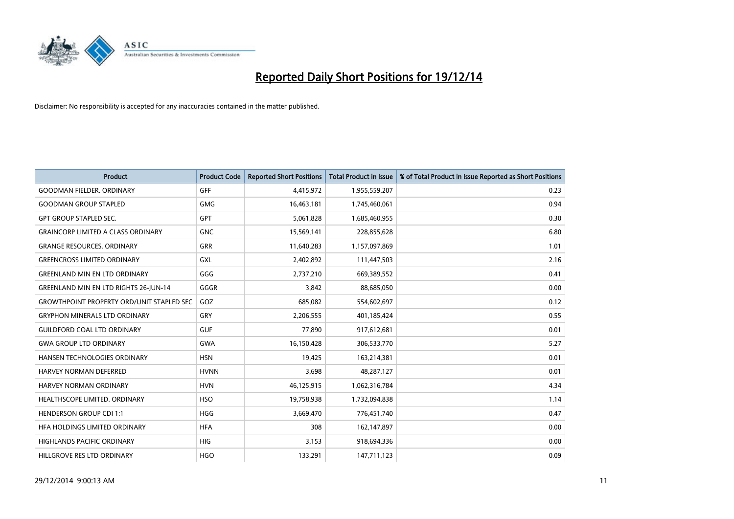

| <b>Product</b>                                   | <b>Product Code</b> | <b>Reported Short Positions</b> | <b>Total Product in Issue</b> | % of Total Product in Issue Reported as Short Positions |
|--------------------------------------------------|---------------------|---------------------------------|-------------------------------|---------------------------------------------------------|
| <b>GOODMAN FIELDER, ORDINARY</b>                 | GFF                 | 4,415,972                       | 1,955,559,207                 | 0.23                                                    |
| <b>GOODMAN GROUP STAPLED</b>                     | <b>GMG</b>          | 16,463,181                      | 1,745,460,061                 | 0.94                                                    |
| <b>GPT GROUP STAPLED SEC.</b>                    | <b>GPT</b>          | 5,061,828                       | 1,685,460,955                 | 0.30                                                    |
| <b>GRAINCORP LIMITED A CLASS ORDINARY</b>        | <b>GNC</b>          | 15,569,141                      | 228,855,628                   | 6.80                                                    |
| <b>GRANGE RESOURCES, ORDINARY</b>                | GRR                 | 11,640,283                      | 1,157,097,869                 | 1.01                                                    |
| <b>GREENCROSS LIMITED ORDINARY</b>               | <b>GXL</b>          | 2,402,892                       | 111,447,503                   | 2.16                                                    |
| <b>GREENLAND MIN EN LTD ORDINARY</b>             | GGG                 | 2,737,210                       | 669,389,552                   | 0.41                                                    |
| <b>GREENLAND MIN EN LTD RIGHTS 26-JUN-14</b>     | GGGR                | 3,842                           | 88,685,050                    | 0.00                                                    |
| <b>GROWTHPOINT PROPERTY ORD/UNIT STAPLED SEC</b> | GOZ                 | 685,082                         | 554,602,697                   | 0.12                                                    |
| <b>GRYPHON MINERALS LTD ORDINARY</b>             | GRY                 | 2,206,555                       | 401,185,424                   | 0.55                                                    |
| <b>GUILDFORD COAL LTD ORDINARY</b>               | <b>GUF</b>          | 77,890                          | 917,612,681                   | 0.01                                                    |
| <b>GWA GROUP LTD ORDINARY</b>                    | <b>GWA</b>          | 16,150,428                      | 306,533,770                   | 5.27                                                    |
| HANSEN TECHNOLOGIES ORDINARY                     | <b>HSN</b>          | 19,425                          | 163,214,381                   | 0.01                                                    |
| <b>HARVEY NORMAN DEFERRED</b>                    | <b>HVNN</b>         | 3,698                           | 48,287,127                    | 0.01                                                    |
| HARVEY NORMAN ORDINARY                           | <b>HVN</b>          | 46,125,915                      | 1,062,316,784                 | 4.34                                                    |
| HEALTHSCOPE LIMITED. ORDINARY                    | <b>HSO</b>          | 19,758,938                      | 1,732,094,838                 | 1.14                                                    |
| <b>HENDERSON GROUP CDI 1:1</b>                   | <b>HGG</b>          | 3,669,470                       | 776,451,740                   | 0.47                                                    |
| HFA HOLDINGS LIMITED ORDINARY                    | <b>HFA</b>          | 308                             | 162,147,897                   | 0.00                                                    |
| <b>HIGHLANDS PACIFIC ORDINARY</b>                | <b>HIG</b>          | 3,153                           | 918,694,336                   | 0.00                                                    |
| HILLGROVE RES LTD ORDINARY                       | <b>HGO</b>          | 133,291                         | 147,711,123                   | 0.09                                                    |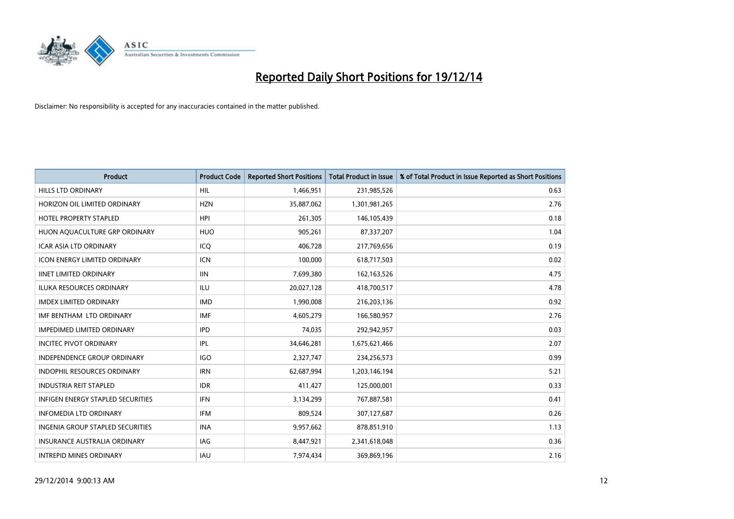

| <b>Product</b>                          | <b>Product Code</b> | <b>Reported Short Positions</b> | <b>Total Product in Issue</b> | % of Total Product in Issue Reported as Short Positions |
|-----------------------------------------|---------------------|---------------------------------|-------------------------------|---------------------------------------------------------|
| <b>HILLS LTD ORDINARY</b>               | <b>HIL</b>          | 1,466,951                       | 231,985,526                   | 0.63                                                    |
| HORIZON OIL LIMITED ORDINARY            | <b>HZN</b>          | 35,887,062                      | 1,301,981,265                 | 2.76                                                    |
| <b>HOTEL PROPERTY STAPLED</b>           | <b>HPI</b>          | 261,305                         | 146,105,439                   | 0.18                                                    |
| HUON AQUACULTURE GRP ORDINARY           | <b>HUO</b>          | 905,261                         | 87,337,207                    | 1.04                                                    |
| <b>ICAR ASIA LTD ORDINARY</b>           | ICQ                 | 406,728                         | 217,769,656                   | 0.19                                                    |
| <b>ICON ENERGY LIMITED ORDINARY</b>     | <b>ICN</b>          | 100,000                         | 618,717,503                   | 0.02                                                    |
| <b>IINET LIMITED ORDINARY</b>           | <b>IIN</b>          | 7,699,380                       | 162, 163, 526                 | 4.75                                                    |
| ILUKA RESOURCES ORDINARY                | <b>ILU</b>          | 20,027,128                      | 418,700,517                   | 4.78                                                    |
| <b>IMDEX LIMITED ORDINARY</b>           | <b>IMD</b>          | 1,990,008                       | 216,203,136                   | 0.92                                                    |
| IMF BENTHAM LTD ORDINARY                | <b>IMF</b>          | 4,605,279                       | 166,580,957                   | 2.76                                                    |
| <b>IMPEDIMED LIMITED ORDINARY</b>       | <b>IPD</b>          | 74,035                          | 292,942,957                   | 0.03                                                    |
| <b>INCITEC PIVOT ORDINARY</b>           | IPL                 | 34,646,281                      | 1,675,621,466                 | 2.07                                                    |
| <b>INDEPENDENCE GROUP ORDINARY</b>      | <b>IGO</b>          | 2,327,747                       | 234,256,573                   | 0.99                                                    |
| <b>INDOPHIL RESOURCES ORDINARY</b>      | <b>IRN</b>          | 62,687,994                      | 1,203,146,194                 | 5.21                                                    |
| <b>INDUSTRIA REIT STAPLED</b>           | <b>IDR</b>          | 411,427                         | 125,000,001                   | 0.33                                                    |
| INFIGEN ENERGY STAPLED SECURITIES       | <b>IFN</b>          | 3,134,299                       | 767,887,581                   | 0.41                                                    |
| <b>INFOMEDIA LTD ORDINARY</b>           | IFM                 | 809,524                         | 307,127,687                   | 0.26                                                    |
| <b>INGENIA GROUP STAPLED SECURITIES</b> | <b>INA</b>          | 9,957,662                       | 878,851,910                   | 1.13                                                    |
| <b>INSURANCE AUSTRALIA ORDINARY</b>     | IAG                 | 8,447,921                       | 2,341,618,048                 | 0.36                                                    |
| <b>INTREPID MINES ORDINARY</b>          | <b>IAU</b>          | 7,974,434                       | 369,869,196                   | 2.16                                                    |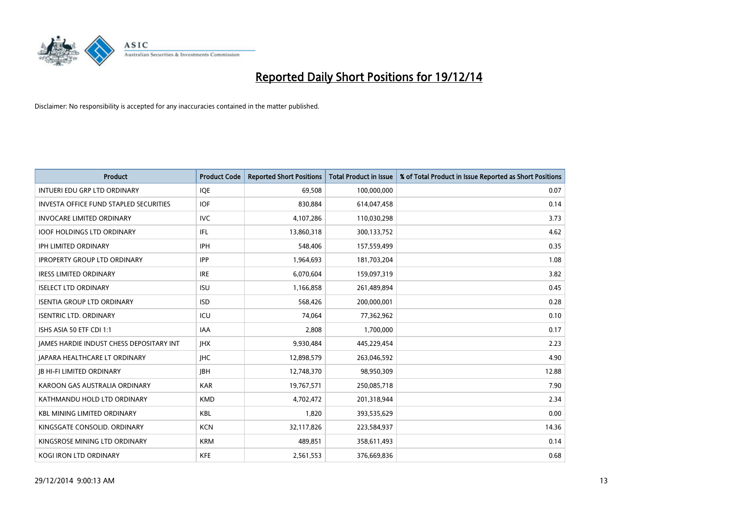

| Product                                         | <b>Product Code</b> | <b>Reported Short Positions</b> | <b>Total Product in Issue</b> | % of Total Product in Issue Reported as Short Positions |
|-------------------------------------------------|---------------------|---------------------------------|-------------------------------|---------------------------------------------------------|
| <b>INTUERI EDU GRP LTD ORDINARY</b>             | IQE                 | 69,508                          | 100,000,000                   | 0.07                                                    |
| <b>INVESTA OFFICE FUND STAPLED SECURITIES</b>   | <b>IOF</b>          | 830,884                         | 614,047,458                   | 0.14                                                    |
| <b>INVOCARE LIMITED ORDINARY</b>                | <b>IVC</b>          | 4,107,286                       | 110,030,298                   | 3.73                                                    |
| <b>IOOF HOLDINGS LTD ORDINARY</b>               | IFL                 | 13,860,318                      | 300,133,752                   | 4.62                                                    |
| <b>IPH LIMITED ORDINARY</b>                     | <b>IPH</b>          | 548,406                         | 157,559,499                   | 0.35                                                    |
| <b>IPROPERTY GROUP LTD ORDINARY</b>             | <b>IPP</b>          | 1,964,693                       | 181,703,204                   | 1.08                                                    |
| <b>IRESS LIMITED ORDINARY</b>                   | <b>IRE</b>          | 6,070,604                       | 159,097,319                   | 3.82                                                    |
| <b>ISELECT LTD ORDINARY</b>                     | <b>ISU</b>          | 1,166,858                       | 261,489,894                   | 0.45                                                    |
| <b>ISENTIA GROUP LTD ORDINARY</b>               | <b>ISD</b>          | 568,426                         | 200,000,001                   | 0.28                                                    |
| <b>ISENTRIC LTD. ORDINARY</b>                   | ICU                 | 74,064                          | 77,362,962                    | 0.10                                                    |
| ISHS ASIA 50 ETF CDI 1:1                        | <b>IAA</b>          | 2,808                           | 1,700,000                     | 0.17                                                    |
| <b>JAMES HARDIE INDUST CHESS DEPOSITARY INT</b> | <b>IHX</b>          | 9,930,484                       | 445,229,454                   | 2.23                                                    |
| JAPARA HEALTHCARE LT ORDINARY                   | <b>IHC</b>          | 12,898,579                      | 263,046,592                   | 4.90                                                    |
| <b>JB HI-FI LIMITED ORDINARY</b>                | <b>JBH</b>          | 12,748,370                      | 98,950,309                    | 12.88                                                   |
| KAROON GAS AUSTRALIA ORDINARY                   | <b>KAR</b>          | 19,767,571                      | 250,085,718                   | 7.90                                                    |
| KATHMANDU HOLD LTD ORDINARY                     | <b>KMD</b>          | 4,702,472                       | 201,318,944                   | 2.34                                                    |
| <b>KBL MINING LIMITED ORDINARY</b>              | <b>KBL</b>          | 1,820                           | 393,535,629                   | 0.00                                                    |
| KINGSGATE CONSOLID, ORDINARY                    | <b>KCN</b>          | 32,117,826                      | 223,584,937                   | 14.36                                                   |
| KINGSROSE MINING LTD ORDINARY                   | <b>KRM</b>          | 489,851                         | 358,611,493                   | 0.14                                                    |
| KOGI IRON LTD ORDINARY                          | <b>KFE</b>          | 2,561,553                       | 376,669,836                   | 0.68                                                    |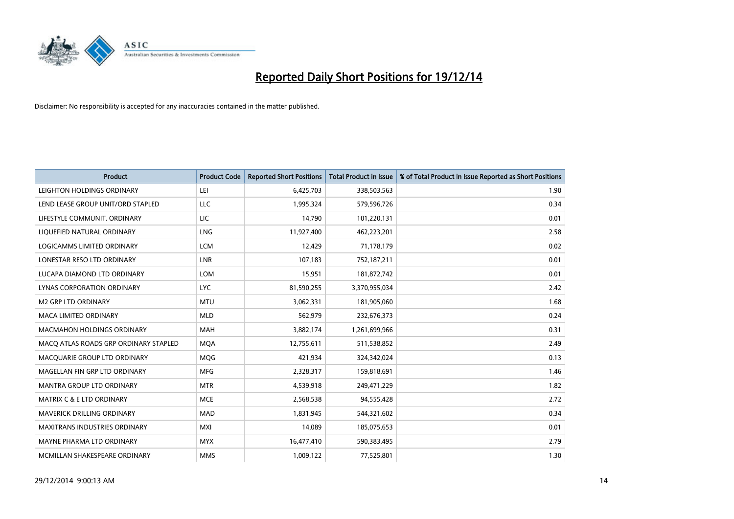

| <b>Product</b>                        | <b>Product Code</b> | <b>Reported Short Positions</b> | <b>Total Product in Issue</b> | % of Total Product in Issue Reported as Short Positions |
|---------------------------------------|---------------------|---------------------------------|-------------------------------|---------------------------------------------------------|
| LEIGHTON HOLDINGS ORDINARY            | LEI                 | 6,425,703                       | 338,503,563                   | 1.90                                                    |
| LEND LEASE GROUP UNIT/ORD STAPLED     | LLC                 | 1,995,324                       | 579,596,726                   | 0.34                                                    |
| LIFESTYLE COMMUNIT. ORDINARY          | LIC                 | 14,790                          | 101,220,131                   | 0.01                                                    |
| LIQUEFIED NATURAL ORDINARY            | LNG                 | 11,927,400                      | 462,223,201                   | 2.58                                                    |
| <b>LOGICAMMS LIMITED ORDINARY</b>     | <b>LCM</b>          | 12,429                          | 71,178,179                    | 0.02                                                    |
| LONESTAR RESO LTD ORDINARY            | <b>LNR</b>          | 107,183                         | 752,187,211                   | 0.01                                                    |
| LUCAPA DIAMOND LTD ORDINARY           | <b>LOM</b>          | 15,951                          | 181,872,742                   | 0.01                                                    |
| LYNAS CORPORATION ORDINARY            | <b>LYC</b>          | 81,590,255                      | 3,370,955,034                 | 2.42                                                    |
| <b>M2 GRP LTD ORDINARY</b>            | <b>MTU</b>          | 3,062,331                       | 181,905,060                   | 1.68                                                    |
| <b>MACA LIMITED ORDINARY</b>          | <b>MLD</b>          | 562,979                         | 232,676,373                   | 0.24                                                    |
| <b>MACMAHON HOLDINGS ORDINARY</b>     | <b>MAH</b>          | 3,882,174                       | 1,261,699,966                 | 0.31                                                    |
| MACO ATLAS ROADS GRP ORDINARY STAPLED | <b>MOA</b>          | 12,755,611                      | 511,538,852                   | 2.49                                                    |
| MACQUARIE GROUP LTD ORDINARY          | <b>MOG</b>          | 421,934                         | 324,342,024                   | 0.13                                                    |
| MAGELLAN FIN GRP LTD ORDINARY         | <b>MFG</b>          | 2,328,317                       | 159,818,691                   | 1.46                                                    |
| <b>MANTRA GROUP LTD ORDINARY</b>      | <b>MTR</b>          | 4,539,918                       | 249,471,229                   | 1.82                                                    |
| <b>MATRIX C &amp; E LTD ORDINARY</b>  | <b>MCE</b>          | 2,568,538                       | 94,555,428                    | 2.72                                                    |
| MAVERICK DRILLING ORDINARY            | <b>MAD</b>          | 1,831,945                       | 544,321,602                   | 0.34                                                    |
| <b>MAXITRANS INDUSTRIES ORDINARY</b>  | <b>MXI</b>          | 14,089                          | 185,075,653                   | 0.01                                                    |
| MAYNE PHARMA LTD ORDINARY             | <b>MYX</b>          | 16,477,410                      | 590,383,495                   | 2.79                                                    |
| MCMILLAN SHAKESPEARE ORDINARY         | <b>MMS</b>          | 1,009,122                       | 77,525,801                    | 1.30                                                    |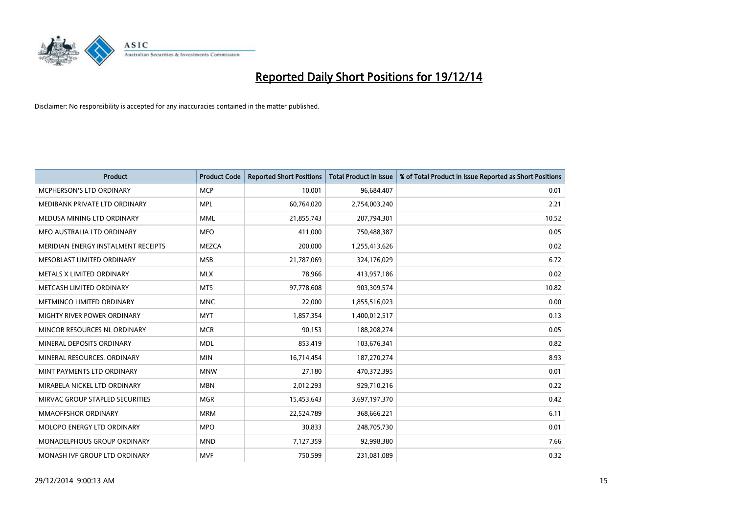

| <b>Product</b>                      | <b>Product Code</b> | <b>Reported Short Positions</b> | Total Product in Issue | % of Total Product in Issue Reported as Short Positions |
|-------------------------------------|---------------------|---------------------------------|------------------------|---------------------------------------------------------|
| MCPHERSON'S LTD ORDINARY            | <b>MCP</b>          | 10,001                          | 96,684,407             | 0.01                                                    |
| MEDIBANK PRIVATE LTD ORDINARY       | <b>MPL</b>          | 60,764,020                      | 2,754,003,240          | 2.21                                                    |
| MEDUSA MINING LTD ORDINARY          | <b>MML</b>          | 21,855,743                      | 207,794,301            | 10.52                                                   |
| MEO AUSTRALIA LTD ORDINARY          | <b>MEO</b>          | 411,000                         | 750,488,387            | 0.05                                                    |
| MERIDIAN ENERGY INSTALMENT RECEIPTS | <b>MEZCA</b>        | 200,000                         | 1,255,413,626          | 0.02                                                    |
| MESOBLAST LIMITED ORDINARY          | <b>MSB</b>          | 21,787,069                      | 324,176,029            | 6.72                                                    |
| METALS X LIMITED ORDINARY           | <b>MLX</b>          | 78,966                          | 413,957,186            | 0.02                                                    |
| METCASH LIMITED ORDINARY            | <b>MTS</b>          | 97,778,608                      | 903,309,574            | 10.82                                                   |
| METMINCO LIMITED ORDINARY           | <b>MNC</b>          | 22,000                          | 1,855,516,023          | 0.00                                                    |
| MIGHTY RIVER POWER ORDINARY         | <b>MYT</b>          | 1,857,354                       | 1,400,012,517          | 0.13                                                    |
| MINCOR RESOURCES NL ORDINARY        | <b>MCR</b>          | 90,153                          | 188,208,274            | 0.05                                                    |
| MINERAL DEPOSITS ORDINARY           | <b>MDL</b>          | 853,419                         | 103,676,341            | 0.82                                                    |
| MINERAL RESOURCES, ORDINARY         | <b>MIN</b>          | 16,714,454                      | 187,270,274            | 8.93                                                    |
| MINT PAYMENTS LTD ORDINARY          | <b>MNW</b>          | 27,180                          | 470,372,395            | 0.01                                                    |
| MIRABELA NICKEL LTD ORDINARY        | <b>MBN</b>          | 2,012,293                       | 929,710,216            | 0.22                                                    |
| MIRVAC GROUP STAPLED SECURITIES     | <b>MGR</b>          | 15,453,643                      | 3,697,197,370          | 0.42                                                    |
| MMAOFFSHOR ORDINARY                 | <b>MRM</b>          | 22,524,789                      | 368,666,221            | 6.11                                                    |
| MOLOPO ENERGY LTD ORDINARY          | <b>MPO</b>          | 30,833                          | 248,705,730            | 0.01                                                    |
| MONADELPHOUS GROUP ORDINARY         | <b>MND</b>          | 7,127,359                       | 92,998,380             | 7.66                                                    |
| MONASH IVF GROUP LTD ORDINARY       | <b>MVF</b>          | 750,599                         | 231,081,089            | 0.32                                                    |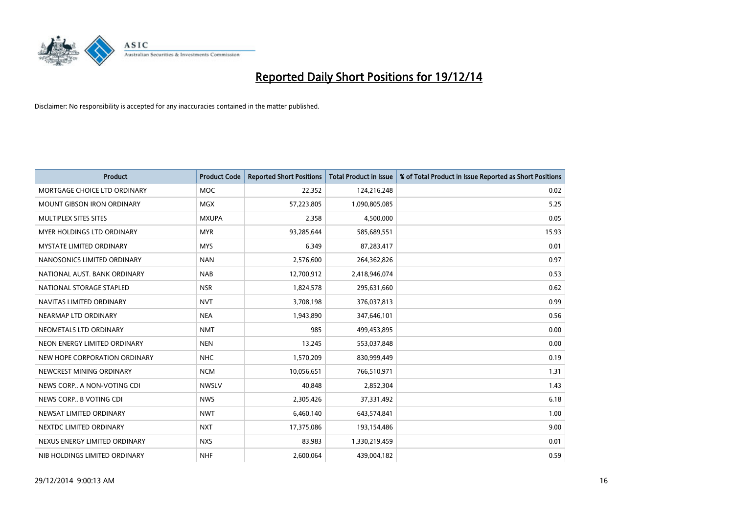

| <b>Product</b>                    | <b>Product Code</b> | <b>Reported Short Positions</b> | <b>Total Product in Issue</b> | % of Total Product in Issue Reported as Short Positions |
|-----------------------------------|---------------------|---------------------------------|-------------------------------|---------------------------------------------------------|
| MORTGAGE CHOICE LTD ORDINARY      | <b>MOC</b>          | 22,352                          | 124,216,248                   | 0.02                                                    |
| MOUNT GIBSON IRON ORDINARY        | <b>MGX</b>          | 57,223,805                      | 1,090,805,085                 | 5.25                                                    |
| MULTIPLEX SITES SITES             | <b>MXUPA</b>        | 2,358                           | 4,500,000                     | 0.05                                                    |
| <b>MYER HOLDINGS LTD ORDINARY</b> | <b>MYR</b>          | 93,285,644                      | 585,689,551                   | 15.93                                                   |
| <b>MYSTATE LIMITED ORDINARY</b>   | <b>MYS</b>          | 6,349                           | 87,283,417                    | 0.01                                                    |
| NANOSONICS LIMITED ORDINARY       | <b>NAN</b>          | 2,576,600                       | 264,362,826                   | 0.97                                                    |
| NATIONAL AUST. BANK ORDINARY      | <b>NAB</b>          | 12,700,912                      | 2,418,946,074                 | 0.53                                                    |
| NATIONAL STORAGE STAPLED          | <b>NSR</b>          | 1,824,578                       | 295,631,660                   | 0.62                                                    |
| NAVITAS LIMITED ORDINARY          | <b>NVT</b>          | 3,708,198                       | 376,037,813                   | 0.99                                                    |
| NEARMAP LTD ORDINARY              | <b>NEA</b>          | 1,943,890                       | 347,646,101                   | 0.56                                                    |
| NEOMETALS LTD ORDINARY            | <b>NMT</b>          | 985                             | 499,453,895                   | 0.00                                                    |
| NEON ENERGY LIMITED ORDINARY      | <b>NEN</b>          | 13,245                          | 553,037,848                   | 0.00                                                    |
| NEW HOPE CORPORATION ORDINARY     | <b>NHC</b>          | 1,570,209                       | 830,999,449                   | 0.19                                                    |
| NEWCREST MINING ORDINARY          | <b>NCM</b>          | 10,056,651                      | 766,510,971                   | 1.31                                                    |
| NEWS CORP A NON-VOTING CDI        | <b>NWSLV</b>        | 40,848                          | 2,852,304                     | 1.43                                                    |
| NEWS CORP B VOTING CDI            | <b>NWS</b>          | 2,305,426                       | 37,331,492                    | 6.18                                                    |
| NEWSAT LIMITED ORDINARY           | <b>NWT</b>          | 6,460,140                       | 643,574,841                   | 1.00                                                    |
| NEXTDC LIMITED ORDINARY           | <b>NXT</b>          | 17,375,086                      | 193,154,486                   | 9.00                                                    |
| NEXUS ENERGY LIMITED ORDINARY     | <b>NXS</b>          | 83,983                          | 1,330,219,459                 | 0.01                                                    |
| NIB HOLDINGS LIMITED ORDINARY     | <b>NHF</b>          | 2,600,064                       | 439,004,182                   | 0.59                                                    |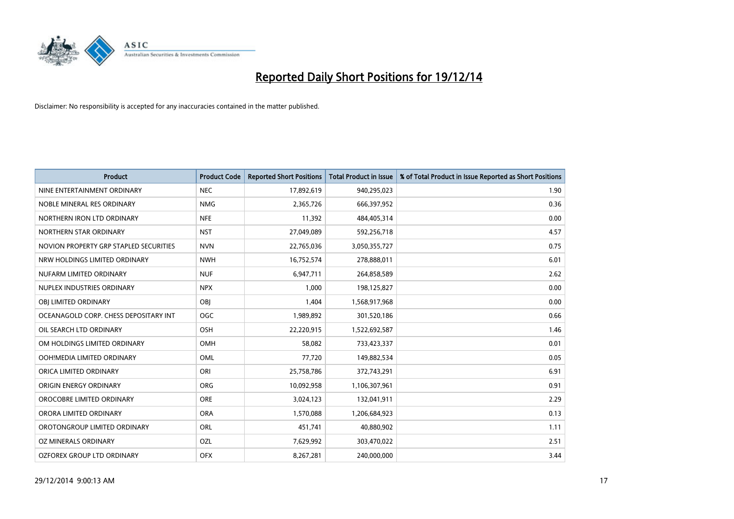

| <b>Product</b>                         | <b>Product Code</b> | <b>Reported Short Positions</b> | <b>Total Product in Issue</b> | % of Total Product in Issue Reported as Short Positions |
|----------------------------------------|---------------------|---------------------------------|-------------------------------|---------------------------------------------------------|
| NINE ENTERTAINMENT ORDINARY            | <b>NEC</b>          | 17,892,619                      | 940,295,023                   | 1.90                                                    |
| NOBLE MINERAL RES ORDINARY             | <b>NMG</b>          | 2,365,726                       | 666,397,952                   | 0.36                                                    |
| NORTHERN IRON LTD ORDINARY             | <b>NFE</b>          | 11,392                          | 484,405,314                   | 0.00                                                    |
| NORTHERN STAR ORDINARY                 | <b>NST</b>          | 27,049,089                      | 592,256,718                   | 4.57                                                    |
| NOVION PROPERTY GRP STAPLED SECURITIES | <b>NVN</b>          | 22,765,036                      | 3,050,355,727                 | 0.75                                                    |
| NRW HOLDINGS LIMITED ORDINARY          | <b>NWH</b>          | 16,752,574                      | 278,888,011                   | 6.01                                                    |
| NUFARM LIMITED ORDINARY                | <b>NUF</b>          | 6,947,711                       | 264,858,589                   | 2.62                                                    |
| NUPLEX INDUSTRIES ORDINARY             | <b>NPX</b>          | 1,000                           | 198,125,827                   | 0.00                                                    |
| OBI LIMITED ORDINARY                   | OBI                 | 1,404                           | 1,568,917,968                 | 0.00                                                    |
| OCEANAGOLD CORP. CHESS DEPOSITARY INT  | <b>OGC</b>          | 1,989,892                       | 301,520,186                   | 0.66                                                    |
| OIL SEARCH LTD ORDINARY                | OSH                 | 22,220,915                      | 1,522,692,587                 | 1.46                                                    |
| OM HOLDINGS LIMITED ORDINARY           | OMH                 | 58,082                          | 733,423,337                   | 0.01                                                    |
| OOH!MEDIA LIMITED ORDINARY             | OML                 | 77,720                          | 149,882,534                   | 0.05                                                    |
| ORICA LIMITED ORDINARY                 | ORI                 | 25,758,786                      | 372,743,291                   | 6.91                                                    |
| ORIGIN ENERGY ORDINARY                 | <b>ORG</b>          | 10,092,958                      | 1,106,307,961                 | 0.91                                                    |
| OROCOBRE LIMITED ORDINARY              | <b>ORE</b>          | 3,024,123                       | 132,041,911                   | 2.29                                                    |
| ORORA LIMITED ORDINARY                 | <b>ORA</b>          | 1,570,088                       | 1,206,684,923                 | 0.13                                                    |
| OROTONGROUP LIMITED ORDINARY           | ORL                 | 451,741                         | 40,880,902                    | 1.11                                                    |
| OZ MINERALS ORDINARY                   | OZL                 | 7,629,992                       | 303,470,022                   | 2.51                                                    |
| OZFOREX GROUP LTD ORDINARY             | <b>OFX</b>          | 8,267,281                       | 240,000,000                   | 3.44                                                    |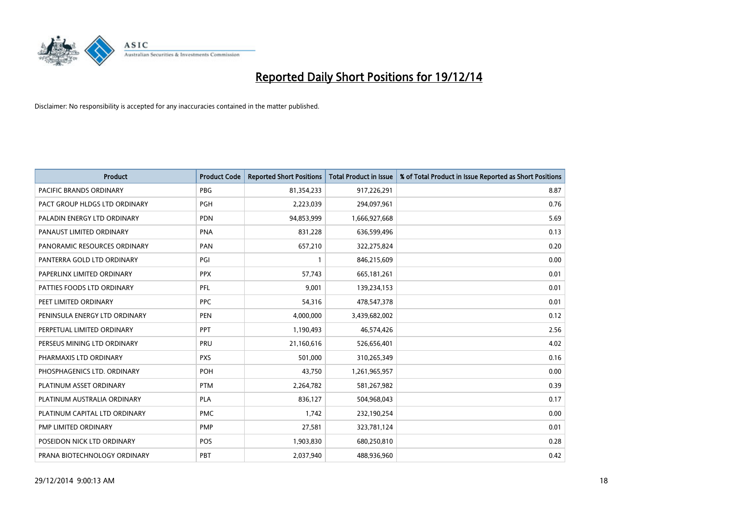

| <b>Product</b>                 | <b>Product Code</b> | <b>Reported Short Positions</b> | <b>Total Product in Issue</b> | % of Total Product in Issue Reported as Short Positions |
|--------------------------------|---------------------|---------------------------------|-------------------------------|---------------------------------------------------------|
| <b>PACIFIC BRANDS ORDINARY</b> | <b>PBG</b>          | 81,354,233                      | 917,226,291                   | 8.87                                                    |
| PACT GROUP HLDGS LTD ORDINARY  | <b>PGH</b>          | 2,223,039                       | 294,097,961                   | 0.76                                                    |
| PALADIN ENERGY LTD ORDINARY    | <b>PDN</b>          | 94,853,999                      | 1,666,927,668                 | 5.69                                                    |
| PANAUST LIMITED ORDINARY       | <b>PNA</b>          | 831,228                         | 636,599,496                   | 0.13                                                    |
| PANORAMIC RESOURCES ORDINARY   | PAN                 | 657,210                         | 322,275,824                   | 0.20                                                    |
| PANTERRA GOLD LTD ORDINARY     | PGI                 | 1                               | 846,215,609                   | 0.00                                                    |
| PAPERLINX LIMITED ORDINARY     | <b>PPX</b>          | 57,743                          | 665, 181, 261                 | 0.01                                                    |
| PATTIES FOODS LTD ORDINARY     | PFL                 | 9,001                           | 139,234,153                   | 0.01                                                    |
| PEET LIMITED ORDINARY          | <b>PPC</b>          | 54,316                          | 478,547,378                   | 0.01                                                    |
| PENINSULA ENERGY LTD ORDINARY  | <b>PEN</b>          | 4,000,000                       | 3,439,682,002                 | 0.12                                                    |
| PERPETUAL LIMITED ORDINARY     | <b>PPT</b>          | 1,190,493                       | 46,574,426                    | 2.56                                                    |
| PERSEUS MINING LTD ORDINARY    | PRU                 | 21,160,616                      | 526,656,401                   | 4.02                                                    |
| PHARMAXIS LTD ORDINARY         | <b>PXS</b>          | 501,000                         | 310,265,349                   | 0.16                                                    |
| PHOSPHAGENICS LTD. ORDINARY    | POH                 | 43,750                          | 1,261,965,957                 | 0.00                                                    |
| PLATINUM ASSET ORDINARY        | <b>PTM</b>          | 2,264,782                       | 581,267,982                   | 0.39                                                    |
| PLATINUM AUSTRALIA ORDINARY    | <b>PLA</b>          | 836,127                         | 504,968,043                   | 0.17                                                    |
| PLATINUM CAPITAL LTD ORDINARY  | <b>PMC</b>          | 1,742                           | 232,190,254                   | 0.00                                                    |
| PMP LIMITED ORDINARY           | <b>PMP</b>          | 27,581                          | 323,781,124                   | 0.01                                                    |
| POSEIDON NICK LTD ORDINARY     | <b>POS</b>          | 1,903,830                       | 680,250,810                   | 0.28                                                    |
| PRANA BIOTECHNOLOGY ORDINARY   | PBT                 | 2,037,940                       | 488,936,960                   | 0.42                                                    |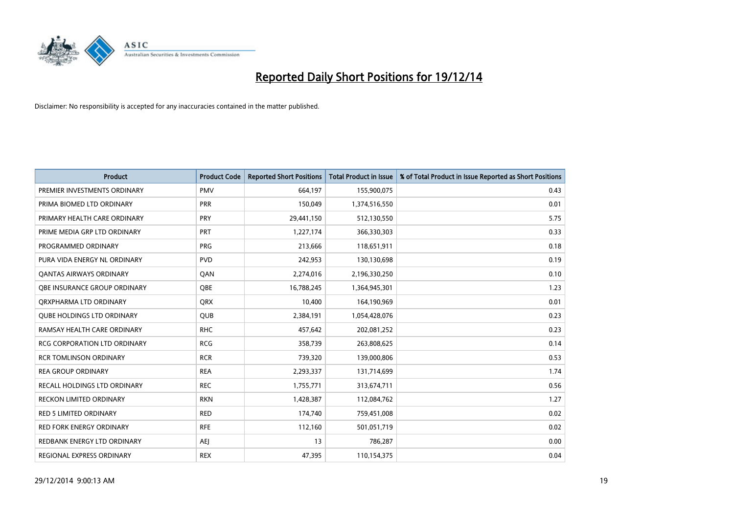

| <b>Product</b>                      | <b>Product Code</b> | <b>Reported Short Positions</b> | <b>Total Product in Issue</b> | % of Total Product in Issue Reported as Short Positions |
|-------------------------------------|---------------------|---------------------------------|-------------------------------|---------------------------------------------------------|
| PREMIER INVESTMENTS ORDINARY        | <b>PMV</b>          | 664,197                         | 155,900,075                   | 0.43                                                    |
| PRIMA BIOMED LTD ORDINARY           | <b>PRR</b>          | 150,049                         | 1,374,516,550                 | 0.01                                                    |
| PRIMARY HEALTH CARE ORDINARY        | <b>PRY</b>          | 29,441,150                      | 512,130,550                   | 5.75                                                    |
| PRIME MEDIA GRP LTD ORDINARY        | <b>PRT</b>          | 1,227,174                       | 366,330,303                   | 0.33                                                    |
| PROGRAMMED ORDINARY                 | <b>PRG</b>          | 213,666                         | 118,651,911                   | 0.18                                                    |
| PURA VIDA ENERGY NL ORDINARY        | <b>PVD</b>          | 242,953                         | 130,130,698                   | 0.19                                                    |
| <b>QANTAS AIRWAYS ORDINARY</b>      | QAN                 | 2,274,016                       | 2,196,330,250                 | 0.10                                                    |
| OBE INSURANCE GROUP ORDINARY        | <b>OBE</b>          | 16,788,245                      | 1,364,945,301                 | 1.23                                                    |
| ORXPHARMA LTD ORDINARY              | <b>QRX</b>          | 10,400                          | 164,190,969                   | 0.01                                                    |
| <b>OUBE HOLDINGS LTD ORDINARY</b>   | QUB                 | 2,384,191                       | 1,054,428,076                 | 0.23                                                    |
| RAMSAY HEALTH CARE ORDINARY         | <b>RHC</b>          | 457,642                         | 202,081,252                   | 0.23                                                    |
| <b>RCG CORPORATION LTD ORDINARY</b> | <b>RCG</b>          | 358,739                         | 263,808,625                   | 0.14                                                    |
| <b>RCR TOMLINSON ORDINARY</b>       | <b>RCR</b>          | 739,320                         | 139,000,806                   | 0.53                                                    |
| <b>REA GROUP ORDINARY</b>           | <b>REA</b>          | 2,293,337                       | 131,714,699                   | 1.74                                                    |
| RECALL HOLDINGS LTD ORDINARY        | <b>REC</b>          | 1,755,771                       | 313,674,711                   | 0.56                                                    |
| RECKON LIMITED ORDINARY             | <b>RKN</b>          | 1,428,387                       | 112,084,762                   | 1.27                                                    |
| <b>RED 5 LIMITED ORDINARY</b>       | RED                 | 174,740                         | 759,451,008                   | 0.02                                                    |
| <b>RED FORK ENERGY ORDINARY</b>     | <b>RFE</b>          | 112,160                         | 501,051,719                   | 0.02                                                    |
| REDBANK ENERGY LTD ORDINARY         | <b>AEI</b>          | 13                              | 786,287                       | 0.00                                                    |
| REGIONAL EXPRESS ORDINARY           | <b>REX</b>          | 47,395                          | 110,154,375                   | 0.04                                                    |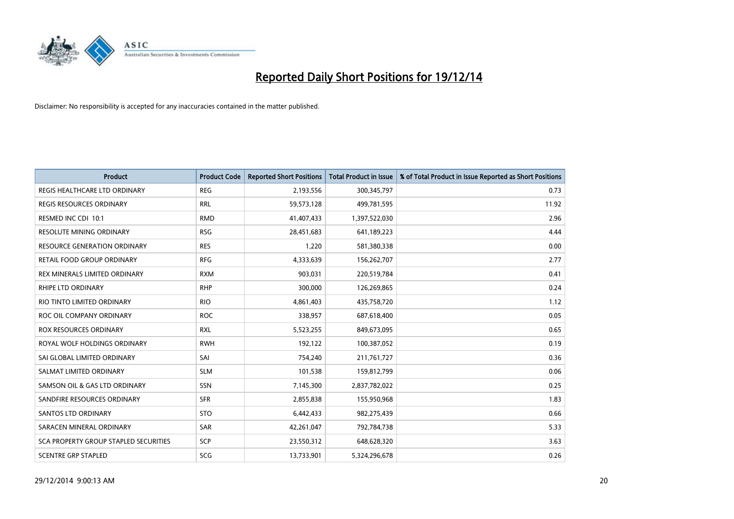

| <b>Product</b>                        | <b>Product Code</b> | <b>Reported Short Positions</b> | <b>Total Product in Issue</b> | % of Total Product in Issue Reported as Short Positions |
|---------------------------------------|---------------------|---------------------------------|-------------------------------|---------------------------------------------------------|
| REGIS HEALTHCARE LTD ORDINARY         | <b>REG</b>          | 2,193,556                       | 300,345,797                   | 0.73                                                    |
| REGIS RESOURCES ORDINARY              | <b>RRL</b>          | 59,573,128                      | 499,781,595                   | 11.92                                                   |
| RESMED INC CDI 10:1                   | <b>RMD</b>          | 41,407,433                      | 1,397,522,030                 | 2.96                                                    |
| <b>RESOLUTE MINING ORDINARY</b>       | <b>RSG</b>          | 28,451,683                      | 641,189,223                   | 4.44                                                    |
| <b>RESOURCE GENERATION ORDINARY</b>   | <b>RES</b>          | 1,220                           | 581,380,338                   | 0.00                                                    |
| RETAIL FOOD GROUP ORDINARY            | <b>RFG</b>          | 4,333,639                       | 156,262,707                   | 2.77                                                    |
| REX MINERALS LIMITED ORDINARY         | <b>RXM</b>          | 903,031                         | 220,519,784                   | 0.41                                                    |
| <b>RHIPE LTD ORDINARY</b>             | <b>RHP</b>          | 300,000                         | 126,269,865                   | 0.24                                                    |
| RIO TINTO LIMITED ORDINARY            | <b>RIO</b>          | 4,861,403                       | 435,758,720                   | 1.12                                                    |
| ROC OIL COMPANY ORDINARY              | <b>ROC</b>          | 338,957                         | 687,618,400                   | 0.05                                                    |
| <b>ROX RESOURCES ORDINARY</b>         | <b>RXL</b>          | 5,523,255                       | 849,673,095                   | 0.65                                                    |
| ROYAL WOLF HOLDINGS ORDINARY          | <b>RWH</b>          | 192,122                         | 100,387,052                   | 0.19                                                    |
| SAI GLOBAL LIMITED ORDINARY           | SAI                 | 754,240                         | 211,761,727                   | 0.36                                                    |
| SALMAT LIMITED ORDINARY               | <b>SLM</b>          | 101,538                         | 159,812,799                   | 0.06                                                    |
| SAMSON OIL & GAS LTD ORDINARY         | SSN                 | 7,145,300                       | 2,837,782,022                 | 0.25                                                    |
| SANDFIRE RESOURCES ORDINARY           | <b>SFR</b>          | 2,855,838                       | 155,950,968                   | 1.83                                                    |
| SANTOS LTD ORDINARY                   | <b>STO</b>          | 6,442,433                       | 982,275,439                   | 0.66                                                    |
| SARACEN MINERAL ORDINARY              | <b>SAR</b>          | 42,261,047                      | 792,784,738                   | 5.33                                                    |
| SCA PROPERTY GROUP STAPLED SECURITIES | <b>SCP</b>          | 23,550,312                      | 648,628,320                   | 3.63                                                    |
| <b>SCENTRE GRP STAPLED</b>            | SCG                 | 13,733,901                      | 5,324,296,678                 | 0.26                                                    |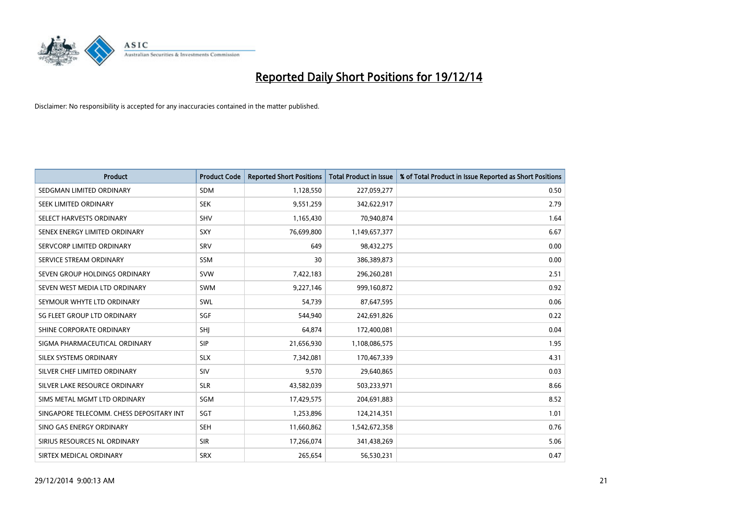

| <b>Product</b>                           | <b>Product Code</b> | <b>Reported Short Positions</b> | <b>Total Product in Issue</b> | % of Total Product in Issue Reported as Short Positions |
|------------------------------------------|---------------------|---------------------------------|-------------------------------|---------------------------------------------------------|
| SEDGMAN LIMITED ORDINARY                 | <b>SDM</b>          | 1,128,550                       | 227,059,277                   | 0.50                                                    |
| SEEK LIMITED ORDINARY                    | <b>SEK</b>          | 9,551,259                       | 342,622,917                   | 2.79                                                    |
| SELECT HARVESTS ORDINARY                 | <b>SHV</b>          | 1,165,430                       | 70,940,874                    | 1.64                                                    |
| SENEX ENERGY LIMITED ORDINARY            | <b>SXY</b>          | 76,699,800                      | 1,149,657,377                 | 6.67                                                    |
| SERVCORP LIMITED ORDINARY                | SRV                 | 649                             | 98,432,275                    | 0.00                                                    |
| SERVICE STREAM ORDINARY                  | SSM                 | 30                              | 386,389,873                   | 0.00                                                    |
| SEVEN GROUP HOLDINGS ORDINARY            | <b>SVW</b>          | 7,422,183                       | 296,260,281                   | 2.51                                                    |
| SEVEN WEST MEDIA LTD ORDINARY            | <b>SWM</b>          | 9,227,146                       | 999,160,872                   | 0.92                                                    |
| SEYMOUR WHYTE LTD ORDINARY               | SWL                 | 54,739                          | 87,647,595                    | 0.06                                                    |
| SG FLEET GROUP LTD ORDINARY              | SGF                 | 544,940                         | 242,691,826                   | 0.22                                                    |
| SHINE CORPORATE ORDINARY                 | SHI                 | 64,874                          | 172,400,081                   | 0.04                                                    |
| SIGMA PHARMACEUTICAL ORDINARY            | <b>SIP</b>          | 21,656,930                      | 1,108,086,575                 | 1.95                                                    |
| SILEX SYSTEMS ORDINARY                   | <b>SLX</b>          | 7,342,081                       | 170,467,339                   | 4.31                                                    |
| SILVER CHEF LIMITED ORDINARY             | SIV                 | 9,570                           | 29,640,865                    | 0.03                                                    |
| SILVER LAKE RESOURCE ORDINARY            | <b>SLR</b>          | 43,582,039                      | 503,233,971                   | 8.66                                                    |
| SIMS METAL MGMT LTD ORDINARY             | SGM                 | 17,429,575                      | 204,691,883                   | 8.52                                                    |
| SINGAPORE TELECOMM. CHESS DEPOSITARY INT | SGT                 | 1,253,896                       | 124,214,351                   | 1.01                                                    |
| SINO GAS ENERGY ORDINARY                 | <b>SEH</b>          | 11,660,862                      | 1,542,672,358                 | 0.76                                                    |
| SIRIUS RESOURCES NL ORDINARY             | <b>SIR</b>          | 17,266,074                      | 341,438,269                   | 5.06                                                    |
| SIRTEX MEDICAL ORDINARY                  | <b>SRX</b>          | 265,654                         | 56,530,231                    | 0.47                                                    |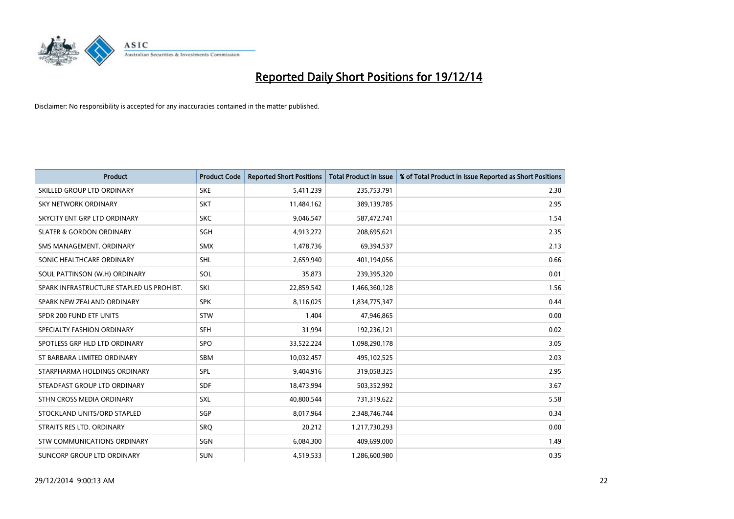

| <b>Product</b>                           | <b>Product Code</b> | <b>Reported Short Positions</b> | <b>Total Product in Issue</b> | % of Total Product in Issue Reported as Short Positions |
|------------------------------------------|---------------------|---------------------------------|-------------------------------|---------------------------------------------------------|
| SKILLED GROUP LTD ORDINARY               | <b>SKE</b>          | 5,411,239                       | 235,753,791                   | 2.30                                                    |
| SKY NETWORK ORDINARY                     | <b>SKT</b>          | 11,484,162                      | 389,139,785                   | 2.95                                                    |
| SKYCITY ENT GRP LTD ORDINARY             | <b>SKC</b>          | 9,046,547                       | 587,472,741                   | 1.54                                                    |
| <b>SLATER &amp; GORDON ORDINARY</b>      | SGH                 | 4,913,272                       | 208,695,621                   | 2.35                                                    |
| SMS MANAGEMENT, ORDINARY                 | <b>SMX</b>          | 1,478,736                       | 69,394,537                    | 2.13                                                    |
| SONIC HEALTHCARE ORDINARY                | SHL                 | 2,659,940                       | 401,194,056                   | 0.66                                                    |
| SOUL PATTINSON (W.H) ORDINARY            | SOL                 | 35,873                          | 239,395,320                   | 0.01                                                    |
| SPARK INFRASTRUCTURE STAPLED US PROHIBT. | SKI                 | 22,859,542                      | 1,466,360,128                 | 1.56                                                    |
| SPARK NEW ZEALAND ORDINARY               | <b>SPK</b>          | 8,116,025                       | 1,834,775,347                 | 0.44                                                    |
| SPDR 200 FUND ETF UNITS                  | <b>STW</b>          | 1,404                           | 47,946,865                    | 0.00                                                    |
| SPECIALTY FASHION ORDINARY               | <b>SFH</b>          | 31,994                          | 192,236,121                   | 0.02                                                    |
| SPOTLESS GRP HLD LTD ORDINARY            | SPO                 | 33,522,224                      | 1,098,290,178                 | 3.05                                                    |
| ST BARBARA LIMITED ORDINARY              | <b>SBM</b>          | 10,032,457                      | 495,102,525                   | 2.03                                                    |
| STARPHARMA HOLDINGS ORDINARY             | SPL                 | 9,404,916                       | 319,058,325                   | 2.95                                                    |
| STEADFAST GROUP LTD ORDINARY             | <b>SDF</b>          | 18,473,994                      | 503,352,992                   | 3.67                                                    |
| STHN CROSS MEDIA ORDINARY                | <b>SXL</b>          | 40,800,544                      | 731,319,622                   | 5.58                                                    |
| STOCKLAND UNITS/ORD STAPLED              | SGP                 | 8,017,964                       | 2,348,746,744                 | 0.34                                                    |
| STRAITS RES LTD. ORDINARY                | <b>SRQ</b>          | 20,212                          | 1,217,730,293                 | 0.00                                                    |
| STW COMMUNICATIONS ORDINARY              | SGN                 | 6,084,300                       | 409,699,000                   | 1.49                                                    |
| SUNCORP GROUP LTD ORDINARY               | <b>SUN</b>          | 4,519,533                       | 1,286,600,980                 | 0.35                                                    |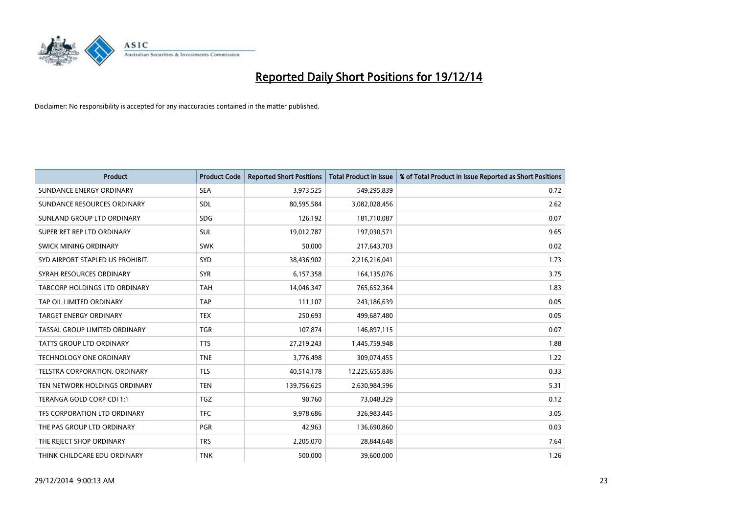

| <b>Product</b>                   | <b>Product Code</b> | <b>Reported Short Positions</b> | <b>Total Product in Issue</b> | % of Total Product in Issue Reported as Short Positions |
|----------------------------------|---------------------|---------------------------------|-------------------------------|---------------------------------------------------------|
| SUNDANCE ENERGY ORDINARY         | <b>SEA</b>          | 3,973,525                       | 549,295,839                   | 0.72                                                    |
| SUNDANCE RESOURCES ORDINARY      | <b>SDL</b>          | 80,595,584                      | 3,082,028,456                 | 2.62                                                    |
| SUNLAND GROUP LTD ORDINARY       | <b>SDG</b>          | 126,192                         | 181,710,087                   | 0.07                                                    |
| SUPER RET REP LTD ORDINARY       | <b>SUL</b>          | 19,012,787                      | 197,030,571                   | 9.65                                                    |
| SWICK MINING ORDINARY            | <b>SWK</b>          | 50,000                          | 217,643,703                   | 0.02                                                    |
| SYD AIRPORT STAPLED US PROHIBIT. | <b>SYD</b>          | 38,436,902                      | 2,216,216,041                 | 1.73                                                    |
| SYRAH RESOURCES ORDINARY         | <b>SYR</b>          | 6,157,358                       | 164,135,076                   | 3.75                                                    |
| TABCORP HOLDINGS LTD ORDINARY    | <b>TAH</b>          | 14,046,347                      | 765,652,364                   | 1.83                                                    |
| TAP OIL LIMITED ORDINARY         | <b>TAP</b>          | 111,107                         | 243,186,639                   | 0.05                                                    |
| <b>TARGET ENERGY ORDINARY</b>    | <b>TEX</b>          | 250,693                         | 499,687,480                   | 0.05                                                    |
| TASSAL GROUP LIMITED ORDINARY    | <b>TGR</b>          | 107,874                         | 146,897,115                   | 0.07                                                    |
| <b>TATTS GROUP LTD ORDINARY</b>  | <b>TTS</b>          | 27,219,243                      | 1,445,759,948                 | 1.88                                                    |
| <b>TECHNOLOGY ONE ORDINARY</b>   | <b>TNE</b>          | 3,776,498                       | 309,074,455                   | 1.22                                                    |
| TELSTRA CORPORATION, ORDINARY    | <b>TLS</b>          | 40,514,178                      | 12,225,655,836                | 0.33                                                    |
| TEN NETWORK HOLDINGS ORDINARY    | <b>TEN</b>          | 139,756,625                     | 2,630,984,596                 | 5.31                                                    |
| TERANGA GOLD CORP CDI 1:1        | <b>TGZ</b>          | 90,760                          | 73,048,329                    | 0.12                                                    |
| TFS CORPORATION LTD ORDINARY     | <b>TFC</b>          | 9,978,686                       | 326,983,445                   | 3.05                                                    |
| THE PAS GROUP LTD ORDINARY       | <b>PGR</b>          | 42,963                          | 136,690,860                   | 0.03                                                    |
| THE REJECT SHOP ORDINARY         | <b>TRS</b>          | 2,205,070                       | 28,844,648                    | 7.64                                                    |
| THINK CHILDCARE EDU ORDINARY     | <b>TNK</b>          | 500,000                         | 39,600,000                    | 1.26                                                    |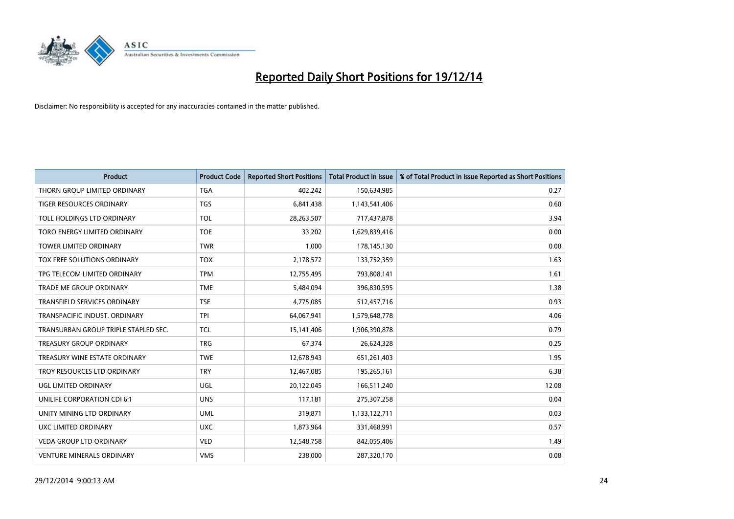

| <b>Product</b>                       | <b>Product Code</b> | <b>Reported Short Positions</b> | <b>Total Product in Issue</b> | % of Total Product in Issue Reported as Short Positions |
|--------------------------------------|---------------------|---------------------------------|-------------------------------|---------------------------------------------------------|
| THORN GROUP LIMITED ORDINARY         | <b>TGA</b>          | 402,242                         | 150,634,985                   | 0.27                                                    |
| TIGER RESOURCES ORDINARY             | <b>TGS</b>          | 6,841,438                       | 1,143,541,406                 | 0.60                                                    |
| TOLL HOLDINGS LTD ORDINARY           | <b>TOL</b>          | 28,263,507                      | 717,437,878                   | 3.94                                                    |
| TORO ENERGY LIMITED ORDINARY         | <b>TOE</b>          | 33,202                          | 1,629,839,416                 | 0.00                                                    |
| <b>TOWER LIMITED ORDINARY</b>        | <b>TWR</b>          | 1,000                           | 178,145,130                   | 0.00                                                    |
| TOX FREE SOLUTIONS ORDINARY          | <b>TOX</b>          | 2,178,572                       | 133,752,359                   | 1.63                                                    |
| TPG TELECOM LIMITED ORDINARY         | <b>TPM</b>          | 12,755,495                      | 793,808,141                   | 1.61                                                    |
| <b>TRADE ME GROUP ORDINARY</b>       | <b>TME</b>          | 5,484,094                       | 396,830,595                   | 1.38                                                    |
| <b>TRANSFIELD SERVICES ORDINARY</b>  | <b>TSE</b>          | 4,775,085                       | 512,457,716                   | 0.93                                                    |
| TRANSPACIFIC INDUST, ORDINARY        | <b>TPI</b>          | 64,067,941                      | 1,579,648,778                 | 4.06                                                    |
| TRANSURBAN GROUP TRIPLE STAPLED SEC. | <b>TCL</b>          | 15,141,406                      | 1,906,390,878                 | 0.79                                                    |
| <b>TREASURY GROUP ORDINARY</b>       | <b>TRG</b>          | 67,374                          | 26,624,328                    | 0.25                                                    |
| TREASURY WINE ESTATE ORDINARY        | <b>TWE</b>          | 12,678,943                      | 651,261,403                   | 1.95                                                    |
| TROY RESOURCES LTD ORDINARY          | <b>TRY</b>          | 12,467,085                      | 195,265,161                   | 6.38                                                    |
| UGL LIMITED ORDINARY                 | UGL                 | 20,122,045                      | 166,511,240                   | 12.08                                                   |
| UNILIFE CORPORATION CDI 6:1          | <b>UNS</b>          | 117,181                         | 275,307,258                   | 0.04                                                    |
| UNITY MINING LTD ORDINARY            | <b>UML</b>          | 319,871                         | 1,133,122,711                 | 0.03                                                    |
| UXC LIMITED ORDINARY                 | <b>UXC</b>          | 1,873,964                       | 331,468,991                   | 0.57                                                    |
| <b>VEDA GROUP LTD ORDINARY</b>       | <b>VED</b>          | 12,548,758                      | 842,055,406                   | 1.49                                                    |
| <b>VENTURE MINERALS ORDINARY</b>     | <b>VMS</b>          | 238,000                         | 287,320,170                   | 0.08                                                    |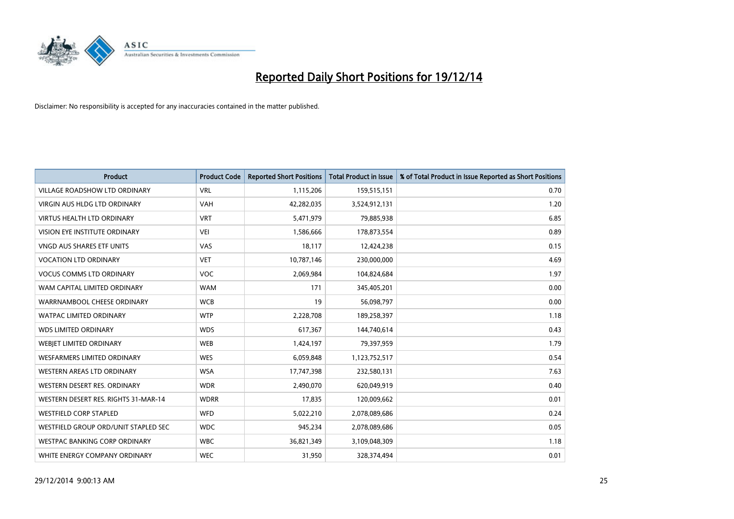

| <b>Product</b>                       | <b>Product Code</b> | <b>Reported Short Positions</b> | <b>Total Product in Issue</b> | % of Total Product in Issue Reported as Short Positions |
|--------------------------------------|---------------------|---------------------------------|-------------------------------|---------------------------------------------------------|
| <b>VILLAGE ROADSHOW LTD ORDINARY</b> | <b>VRL</b>          | 1,115,206                       | 159,515,151                   | 0.70                                                    |
| <b>VIRGIN AUS HLDG LTD ORDINARY</b>  | <b>VAH</b>          | 42,282,035                      | 3,524,912,131                 | 1.20                                                    |
| <b>VIRTUS HEALTH LTD ORDINARY</b>    | <b>VRT</b>          | 5,471,979                       | 79,885,938                    | 6.85                                                    |
| VISION EYE INSTITUTE ORDINARY        | VEI                 | 1,586,666                       | 178,873,554                   | 0.89                                                    |
| <b>VNGD AUS SHARES ETF UNITS</b>     | VAS                 | 18,117                          | 12,424,238                    | 0.15                                                    |
| <b>VOCATION LTD ORDINARY</b>         | <b>VET</b>          | 10,787,146                      | 230,000,000                   | 4.69                                                    |
| <b>VOCUS COMMS LTD ORDINARY</b>      | VOC                 | 2,069,984                       | 104,824,684                   | 1.97                                                    |
| WAM CAPITAL LIMITED ORDINARY         | <b>WAM</b>          | 171                             | 345,405,201                   | 0.00                                                    |
| WARRNAMBOOL CHEESE ORDINARY          | <b>WCB</b>          | 19                              | 56,098,797                    | 0.00                                                    |
| <b>WATPAC LIMITED ORDINARY</b>       | <b>WTP</b>          | 2,228,708                       | 189,258,397                   | 1.18                                                    |
| <b>WDS LIMITED ORDINARY</b>          | <b>WDS</b>          | 617,367                         | 144,740,614                   | 0.43                                                    |
| <b>WEBJET LIMITED ORDINARY</b>       | <b>WEB</b>          | 1,424,197                       | 79,397,959                    | 1.79                                                    |
| <b>WESFARMERS LIMITED ORDINARY</b>   | <b>WES</b>          | 6,059,848                       | 1,123,752,517                 | 0.54                                                    |
| <b>WESTERN AREAS LTD ORDINARY</b>    | <b>WSA</b>          | 17,747,398                      | 232,580,131                   | 7.63                                                    |
| WESTERN DESERT RES. ORDINARY         | <b>WDR</b>          | 2,490,070                       | 620,049,919                   | 0.40                                                    |
| WESTERN DESERT RES. RIGHTS 31-MAR-14 | <b>WDRR</b>         | 17,835                          | 120,009,662                   | 0.01                                                    |
| <b>WESTFIELD CORP STAPLED</b>        | <b>WFD</b>          | 5,022,210                       | 2,078,089,686                 | 0.24                                                    |
| WESTFIELD GROUP ORD/UNIT STAPLED SEC | <b>WDC</b>          | 945,234                         | 2,078,089,686                 | 0.05                                                    |
| WESTPAC BANKING CORP ORDINARY        | <b>WBC</b>          | 36,821,349                      | 3,109,048,309                 | 1.18                                                    |
| WHITE ENERGY COMPANY ORDINARY        | <b>WEC</b>          | 31,950                          | 328,374,494                   | 0.01                                                    |